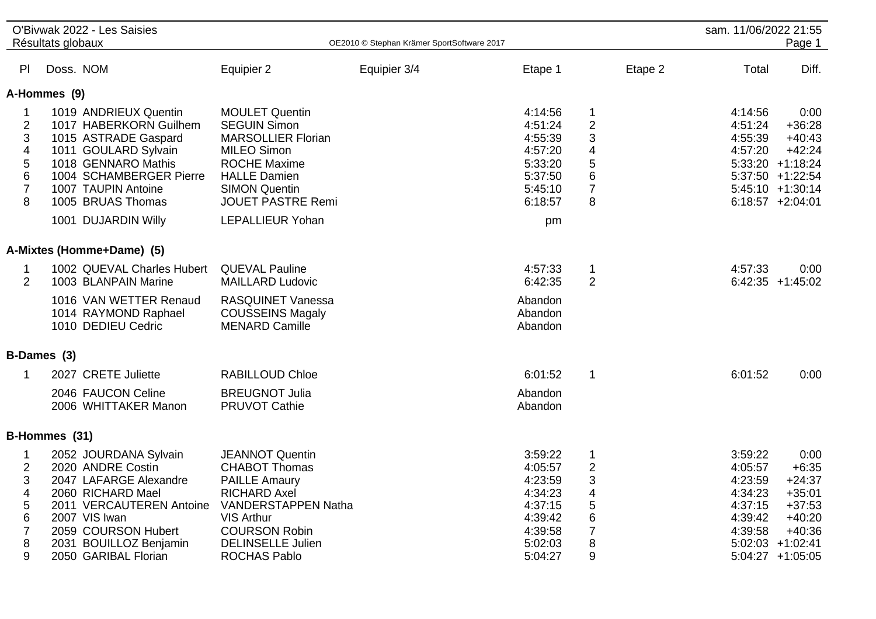|                                                                                                                        | Résultats globaux | O'Bivwak 2022 - Les Saisies                                                                                                                                                                                          |                                                                                                                                                                                                                              | OE2010 © Stephan Krämer SportSoftware 2017 |                                                                                                 |                                                                                        |         | sam. 11/06/2022 21:55                                                     | Page 1                                                                                                                           |
|------------------------------------------------------------------------------------------------------------------------|-------------------|----------------------------------------------------------------------------------------------------------------------------------------------------------------------------------------------------------------------|------------------------------------------------------------------------------------------------------------------------------------------------------------------------------------------------------------------------------|--------------------------------------------|-------------------------------------------------------------------------------------------------|----------------------------------------------------------------------------------------|---------|---------------------------------------------------------------------------|----------------------------------------------------------------------------------------------------------------------------------|
| PI                                                                                                                     | Doss. NOM         |                                                                                                                                                                                                                      | Equipier 2                                                                                                                                                                                                                   | Equipier 3/4                               | Etape 1                                                                                         |                                                                                        | Etape 2 | Total                                                                     | Diff.                                                                                                                            |
|                                                                                                                        | A-Hommes (9)      |                                                                                                                                                                                                                      |                                                                                                                                                                                                                              |                                            |                                                                                                 |                                                                                        |         |                                                                           |                                                                                                                                  |
| 1<br>$\overline{2}$<br>$\sqrt{3}$<br>$\overline{\mathbf{4}}$<br>$\frac{5}{6}$<br>$\overline{7}$<br>8                   |                   | 1019 ANDRIEUX Quentin<br>1017 HABERKORN Guilhem<br>1015 ASTRADE Gaspard<br>1011 GOULARD Sylvain<br>1018 GENNARO Mathis<br>1004 SCHAMBERGER Pierre<br>1007 TAUPIN Antoine<br>1005 BRUAS Thomas<br>1001 DUJARDIN Willy | <b>MOULET Quentin</b><br><b>SEGUIN Simon</b><br><b>MARSOLLIER Florian</b><br><b>MILEO Simon</b><br><b>ROCHE Maxime</b><br><b>HALLE Damien</b><br><b>SIMON Quentin</b><br><b>JOUET PASTRE Remi</b><br><b>LEPALLIEUR Yohan</b> |                                            | 4:14:56<br>4:51:24<br>4:55:39<br>4:57:20<br>5:33:20<br>5:37:50<br>5:45:10<br>6:18:57<br>pm      | $\mathbf 1$<br>$\overline{2}$<br>3<br>4<br>5<br>$6\phantom{1}6$<br>$\overline{7}$<br>8 |         | 4:14:56<br>4:51:24<br>4:55:39<br>4:57:20                                  | 0:00<br>$+36:28$<br>$+40:43$<br>$+42:24$<br>$5:33:20 +1:18:24$<br>$5:37:50 +1:22:54$<br>$5:45:10 +1:30:14$<br>$6:18:57$ +2:04:01 |
|                                                                                                                        |                   | A-Mixtes (Homme+Dame) (5)                                                                                                                                                                                            |                                                                                                                                                                                                                              |                                            |                                                                                                 |                                                                                        |         |                                                                           |                                                                                                                                  |
| $\mathbf{1}$<br>$\overline{2}$                                                                                         |                   | 1002 QUEVAL Charles Hubert<br>1003 BLANPAIN Marine<br>1016 VAN WETTER Renaud<br>1014 RAYMOND Raphael<br>1010 DEDIEU Cedric                                                                                           | <b>QUEVAL Pauline</b><br><b>MAILLARD Ludovic</b><br><b>RASQUINET Vanessa</b><br><b>COUSSEINS Magaly</b><br><b>MENARD Camille</b>                                                                                             |                                            | 4:57:33<br>6:42:35<br>Abandon<br>Abandon<br>Abandon                                             | 1<br>2                                                                                 |         | 4:57:33                                                                   | 0:00<br>$6:42:35$ +1:45:02                                                                                                       |
|                                                                                                                        | B-Dames (3)       |                                                                                                                                                                                                                      |                                                                                                                                                                                                                              |                                            |                                                                                                 |                                                                                        |         |                                                                           |                                                                                                                                  |
| $\mathbf 1$                                                                                                            |                   | 2027 CRETE Juliette<br>2046 FAUCON Celine<br>2006 WHITTAKER Manon                                                                                                                                                    | <b>RABILLOUD Chloe</b><br><b>BREUGNOT Julia</b><br><b>PRUVOT Cathie</b>                                                                                                                                                      |                                            | 6:01:52<br>Abandon<br>Abandon                                                                   | $\mathbf{1}$                                                                           |         | 6:01:52                                                                   | 0:00                                                                                                                             |
|                                                                                                                        | B-Hommes (31)     |                                                                                                                                                                                                                      |                                                                                                                                                                                                                              |                                            |                                                                                                 |                                                                                        |         |                                                                           |                                                                                                                                  |
| 1<br>$\overline{2}$<br>$\ensuremath{\mathsf{3}}$<br>$\overline{\mathcal{A}}$<br>5<br>$\,6$<br>$\overline{7}$<br>8<br>9 |                   | 2052 JOURDANA Sylvain<br>2020 ANDRE Costin<br>2047 LAFARGE Alexandre<br>2060 RICHARD Mael<br>2011 VERCAUTEREN Antoine<br>2007 VIS Iwan<br>2059 COURSON Hubert<br>2031 BOUILLOZ Benjamin<br>2050 GARIBAL Florian      | <b>JEANNOT Quentin</b><br><b>CHABOT Thomas</b><br><b>PAILLE Amaury</b><br><b>RICHARD Axel</b><br><b>VANDERSTAPPEN Natha</b><br><b>VIS Arthur</b><br><b>COURSON Robin</b><br><b>DELINSELLE Julien</b><br><b>ROCHAS Pablo</b>  |                                            | 3:59:22<br>4:05:57<br>4:23:59<br>4:34:23<br>4:37:15<br>4:39:42<br>4:39:58<br>5:02:03<br>5:04:27 | $\mathbf 1$<br>$\overline{2}$<br>3<br>4<br>5<br>6<br>$\overline{7}$<br>8<br>9          |         | 3:59:22<br>4:05:57<br>4:23:59<br>4:34:23<br>4:37:15<br>4:39:42<br>4:39:58 | 0:00<br>$+6:35$<br>$+24:37$<br>$+35:01$<br>$+37:53$<br>$+40:20$<br>$+40:36$<br>$5:02:03 +1:02:41$<br>$5:04:27$ +1:05:05          |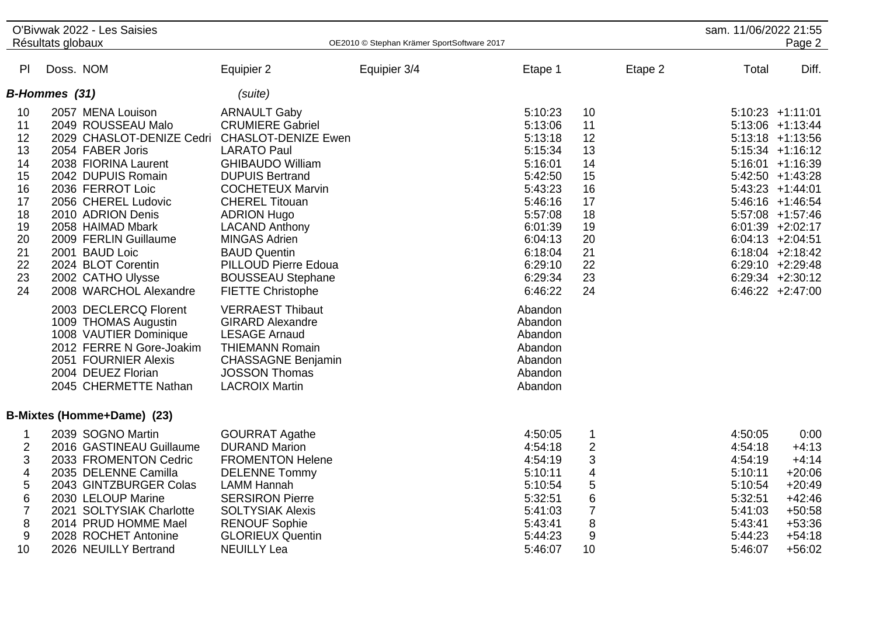| Résultats globaux<br>OE2010 © Stephan Krämer SportSoftware 2017<br>Diff.<br>PI<br>Doss. NOM<br>Equipier 2<br>Equipier 3/4<br>Etape 1<br>Etape 2<br>Total<br>B-Hommes (31)<br>(suite)<br>2057 MENA Louison<br><b>ARNAULT Gaby</b><br>5:10:23<br>10<br>$5:10:23 +1:11:01$<br>10<br>2049 ROUSSEAU Malo<br><b>CRUMIERE Gabriel</b><br>5:13:06<br>11<br>$5:13:06$ +1:13:44<br>11<br><b>CHASLOT-DENIZE Ewen</b><br>12<br>2029 CHASLOT-DENIZE Cedri<br>5:13:18<br>12<br>$5:13:18$ +1:13:56<br>13<br>2054 FABER Joris<br>5:15:34<br>13<br><b>LARATO Paul</b><br>$5:15:34$ +1:16:12<br>14<br>2038 FIORINA Laurent<br>14<br><b>GHIBAUDO William</b><br>5:16:01<br>$5:16:01 + 1:16:39$<br>15<br>2042 DUPUIS Romain<br>5:42:50<br>15<br><b>DUPUIS Bertrand</b><br>$5:42:50 +1:43:28$<br>16<br>5:43:23<br>16<br>2036 FERROT Loic<br><b>COCHETEUX Marvin</b><br>$5:43:23 +1:44:01$<br>17<br>17<br>2056 CHEREL Ludovic<br><b>CHEREL Titouan</b><br>5:46:16<br>$5:46:16$ +1:46:54<br>18<br>2010 ADRION Denis<br><b>ADRION Hugo</b><br>5:57:08<br>18<br>5:57:08 +1:57:46<br>19<br>19<br>2058 HAIMAD Mbark<br><b>LACAND Anthony</b><br>6:01:39<br>$6:01:39$ +2:02:17<br>20<br><b>MINGAS Adrien</b><br>2009 FERLIN Guillaume<br>6:04:13<br>20<br>$6:04:13 +2:04:51$<br>21<br>2001 BAUD Loic<br>21<br>$6:18:04$ +2:18:42<br><b>BAUD Quentin</b><br>6:18:04<br>22<br>2024 BLOT Corentin<br>PILLOUD Pierre Edoua<br>6:29:10<br>22<br>$6:29:10 + 2:29:48$<br>23<br>23<br>2002 CATHO Ulysse<br>6:29:34<br>$6:29:34$ +2:30:12<br><b>BOUSSEAU Stephane</b><br>24<br>2008 WARCHOL Alexandre<br>6:46:22<br>24<br>$6:46:22 +2:47:00$<br><b>FIETTE Christophe</b><br>2003 DECLERCQ Florent<br><b>VERRAEST Thibaut</b><br>Abandon<br>1009 THOMAS Augustin<br><b>GIRARD Alexandre</b><br>Abandon<br>1008 VAUTIER Dominique<br><b>LESAGE Arnaud</b><br>Abandon<br>2012 FERRE N Gore-Joakim<br><b>THIEMANN Romain</b><br>Abandon<br>2051 FOURNIER Alexis<br><b>CHASSAGNE Benjamin</b><br>Abandon<br>2004 DEUEZ Florian<br><b>JOSSON Thomas</b><br>Abandon<br>2045 CHERMETTE Nathan<br><b>LACROIX Martin</b><br>Abandon<br>B-Mixtes (Homme+Dame) (23)<br>2039 SOGNO Martin<br><b>GOURRAT Agathe</b><br>4:50:05<br>$\mathbf 1$<br>4:50:05<br>0:00<br>1<br>$\overline{2}$<br>$\overline{2}$<br>2016 GASTINEAU Guillaume<br><b>DURAND Marion</b><br>4:54:18<br>4:54:18<br>$+4:13$<br>3<br>3<br>2033 FROMENTON Cedric<br><b>FROMENTON Helene</b><br>4:54:19<br>4:54:19<br>$+4:14$<br>4<br>4<br>2035 DELENNE Camilla<br>5:10:11<br>5:10:11<br>$+20:06$<br><b>DELENNE Tommy</b><br>$\sqrt{5}$<br>5<br>2043 GINTZBURGER Colas<br><b>LAMM Hannah</b><br>5:10:54<br>5:10:54<br>$+20:49$<br>6<br>$\,6$<br>2030 LELOUP Marine<br><b>SERSIRON Pierre</b><br>5:32:51<br>5:32:51<br>$+42:46$<br>$\overline{7}$<br>$\overline{7}$<br>5:41:03<br>$+50:58$<br>2021 SOLTYSIAK Charlotte<br><b>SOLTYSIAK Alexis</b><br>5:41:03<br>8<br>8<br>2014 PRUD HOMME Mael<br><b>RENOUF Sophie</b><br>$+53:36$<br>5:43:41<br>5:43:41<br>9<br>9<br><b>GLORIEUX Quentin</b><br>5:44:23<br>$+54:18$<br>2028 ROCHET Antonine<br>5:44:23 |    | O'Bivwak 2022 - Les Saisies |                    |         |    | sam. 11/06/2022 21:55 |          |
|---------------------------------------------------------------------------------------------------------------------------------------------------------------------------------------------------------------------------------------------------------------------------------------------------------------------------------------------------------------------------------------------------------------------------------------------------------------------------------------------------------------------------------------------------------------------------------------------------------------------------------------------------------------------------------------------------------------------------------------------------------------------------------------------------------------------------------------------------------------------------------------------------------------------------------------------------------------------------------------------------------------------------------------------------------------------------------------------------------------------------------------------------------------------------------------------------------------------------------------------------------------------------------------------------------------------------------------------------------------------------------------------------------------------------------------------------------------------------------------------------------------------------------------------------------------------------------------------------------------------------------------------------------------------------------------------------------------------------------------------------------------------------------------------------------------------------------------------------------------------------------------------------------------------------------------------------------------------------------------------------------------------------------------------------------------------------------------------------------------------------------------------------------------------------------------------------------------------------------------------------------------------------------------------------------------------------------------------------------------------------------------------------------------------------------------------------------------------------------------------------------------------------------------------------------------------------------------------------------------------------------------------------------------------------------------------------------------------------------------------------------------------------------------------------------------------------------------------------------------------------------------------------------------------------------------------------------------------------------------------------------------------------------------------------------------------|----|-----------------------------|--------------------|---------|----|-----------------------|----------|
|                                                                                                                                                                                                                                                                                                                                                                                                                                                                                                                                                                                                                                                                                                                                                                                                                                                                                                                                                                                                                                                                                                                                                                                                                                                                                                                                                                                                                                                                                                                                                                                                                                                                                                                                                                                                                                                                                                                                                                                                                                                                                                                                                                                                                                                                                                                                                                                                                                                                                                                                                                                                                                                                                                                                                                                                                                                                                                                                                                                                                                                                     |    |                             |                    |         |    |                       | Page 2   |
|                                                                                                                                                                                                                                                                                                                                                                                                                                                                                                                                                                                                                                                                                                                                                                                                                                                                                                                                                                                                                                                                                                                                                                                                                                                                                                                                                                                                                                                                                                                                                                                                                                                                                                                                                                                                                                                                                                                                                                                                                                                                                                                                                                                                                                                                                                                                                                                                                                                                                                                                                                                                                                                                                                                                                                                                                                                                                                                                                                                                                                                                     |    |                             |                    |         |    |                       |          |
|                                                                                                                                                                                                                                                                                                                                                                                                                                                                                                                                                                                                                                                                                                                                                                                                                                                                                                                                                                                                                                                                                                                                                                                                                                                                                                                                                                                                                                                                                                                                                                                                                                                                                                                                                                                                                                                                                                                                                                                                                                                                                                                                                                                                                                                                                                                                                                                                                                                                                                                                                                                                                                                                                                                                                                                                                                                                                                                                                                                                                                                                     |    |                             |                    |         |    |                       |          |
|                                                                                                                                                                                                                                                                                                                                                                                                                                                                                                                                                                                                                                                                                                                                                                                                                                                                                                                                                                                                                                                                                                                                                                                                                                                                                                                                                                                                                                                                                                                                                                                                                                                                                                                                                                                                                                                                                                                                                                                                                                                                                                                                                                                                                                                                                                                                                                                                                                                                                                                                                                                                                                                                                                                                                                                                                                                                                                                                                                                                                                                                     |    |                             |                    |         |    |                       |          |
|                                                                                                                                                                                                                                                                                                                                                                                                                                                                                                                                                                                                                                                                                                                                                                                                                                                                                                                                                                                                                                                                                                                                                                                                                                                                                                                                                                                                                                                                                                                                                                                                                                                                                                                                                                                                                                                                                                                                                                                                                                                                                                                                                                                                                                                                                                                                                                                                                                                                                                                                                                                                                                                                                                                                                                                                                                                                                                                                                                                                                                                                     |    |                             |                    |         |    |                       |          |
|                                                                                                                                                                                                                                                                                                                                                                                                                                                                                                                                                                                                                                                                                                                                                                                                                                                                                                                                                                                                                                                                                                                                                                                                                                                                                                                                                                                                                                                                                                                                                                                                                                                                                                                                                                                                                                                                                                                                                                                                                                                                                                                                                                                                                                                                                                                                                                                                                                                                                                                                                                                                                                                                                                                                                                                                                                                                                                                                                                                                                                                                     |    |                             |                    |         |    |                       |          |
|                                                                                                                                                                                                                                                                                                                                                                                                                                                                                                                                                                                                                                                                                                                                                                                                                                                                                                                                                                                                                                                                                                                                                                                                                                                                                                                                                                                                                                                                                                                                                                                                                                                                                                                                                                                                                                                                                                                                                                                                                                                                                                                                                                                                                                                                                                                                                                                                                                                                                                                                                                                                                                                                                                                                                                                                                                                                                                                                                                                                                                                                     |    |                             |                    |         |    |                       |          |
|                                                                                                                                                                                                                                                                                                                                                                                                                                                                                                                                                                                                                                                                                                                                                                                                                                                                                                                                                                                                                                                                                                                                                                                                                                                                                                                                                                                                                                                                                                                                                                                                                                                                                                                                                                                                                                                                                                                                                                                                                                                                                                                                                                                                                                                                                                                                                                                                                                                                                                                                                                                                                                                                                                                                                                                                                                                                                                                                                                                                                                                                     |    |                             |                    |         |    |                       |          |
|                                                                                                                                                                                                                                                                                                                                                                                                                                                                                                                                                                                                                                                                                                                                                                                                                                                                                                                                                                                                                                                                                                                                                                                                                                                                                                                                                                                                                                                                                                                                                                                                                                                                                                                                                                                                                                                                                                                                                                                                                                                                                                                                                                                                                                                                                                                                                                                                                                                                                                                                                                                                                                                                                                                                                                                                                                                                                                                                                                                                                                                                     |    |                             |                    |         |    |                       |          |
|                                                                                                                                                                                                                                                                                                                                                                                                                                                                                                                                                                                                                                                                                                                                                                                                                                                                                                                                                                                                                                                                                                                                                                                                                                                                                                                                                                                                                                                                                                                                                                                                                                                                                                                                                                                                                                                                                                                                                                                                                                                                                                                                                                                                                                                                                                                                                                                                                                                                                                                                                                                                                                                                                                                                                                                                                                                                                                                                                                                                                                                                     |    |                             |                    |         |    |                       |          |
|                                                                                                                                                                                                                                                                                                                                                                                                                                                                                                                                                                                                                                                                                                                                                                                                                                                                                                                                                                                                                                                                                                                                                                                                                                                                                                                                                                                                                                                                                                                                                                                                                                                                                                                                                                                                                                                                                                                                                                                                                                                                                                                                                                                                                                                                                                                                                                                                                                                                                                                                                                                                                                                                                                                                                                                                                                                                                                                                                                                                                                                                     |    |                             |                    |         |    |                       |          |
|                                                                                                                                                                                                                                                                                                                                                                                                                                                                                                                                                                                                                                                                                                                                                                                                                                                                                                                                                                                                                                                                                                                                                                                                                                                                                                                                                                                                                                                                                                                                                                                                                                                                                                                                                                                                                                                                                                                                                                                                                                                                                                                                                                                                                                                                                                                                                                                                                                                                                                                                                                                                                                                                                                                                                                                                                                                                                                                                                                                                                                                                     |    |                             |                    |         |    |                       |          |
|                                                                                                                                                                                                                                                                                                                                                                                                                                                                                                                                                                                                                                                                                                                                                                                                                                                                                                                                                                                                                                                                                                                                                                                                                                                                                                                                                                                                                                                                                                                                                                                                                                                                                                                                                                                                                                                                                                                                                                                                                                                                                                                                                                                                                                                                                                                                                                                                                                                                                                                                                                                                                                                                                                                                                                                                                                                                                                                                                                                                                                                                     |    |                             |                    |         |    |                       |          |
|                                                                                                                                                                                                                                                                                                                                                                                                                                                                                                                                                                                                                                                                                                                                                                                                                                                                                                                                                                                                                                                                                                                                                                                                                                                                                                                                                                                                                                                                                                                                                                                                                                                                                                                                                                                                                                                                                                                                                                                                                                                                                                                                                                                                                                                                                                                                                                                                                                                                                                                                                                                                                                                                                                                                                                                                                                                                                                                                                                                                                                                                     |    |                             |                    |         |    |                       |          |
|                                                                                                                                                                                                                                                                                                                                                                                                                                                                                                                                                                                                                                                                                                                                                                                                                                                                                                                                                                                                                                                                                                                                                                                                                                                                                                                                                                                                                                                                                                                                                                                                                                                                                                                                                                                                                                                                                                                                                                                                                                                                                                                                                                                                                                                                                                                                                                                                                                                                                                                                                                                                                                                                                                                                                                                                                                                                                                                                                                                                                                                                     |    |                             |                    |         |    |                       |          |
|                                                                                                                                                                                                                                                                                                                                                                                                                                                                                                                                                                                                                                                                                                                                                                                                                                                                                                                                                                                                                                                                                                                                                                                                                                                                                                                                                                                                                                                                                                                                                                                                                                                                                                                                                                                                                                                                                                                                                                                                                                                                                                                                                                                                                                                                                                                                                                                                                                                                                                                                                                                                                                                                                                                                                                                                                                                                                                                                                                                                                                                                     |    |                             |                    |         |    |                       |          |
|                                                                                                                                                                                                                                                                                                                                                                                                                                                                                                                                                                                                                                                                                                                                                                                                                                                                                                                                                                                                                                                                                                                                                                                                                                                                                                                                                                                                                                                                                                                                                                                                                                                                                                                                                                                                                                                                                                                                                                                                                                                                                                                                                                                                                                                                                                                                                                                                                                                                                                                                                                                                                                                                                                                                                                                                                                                                                                                                                                                                                                                                     |    |                             |                    |         |    |                       |          |
|                                                                                                                                                                                                                                                                                                                                                                                                                                                                                                                                                                                                                                                                                                                                                                                                                                                                                                                                                                                                                                                                                                                                                                                                                                                                                                                                                                                                                                                                                                                                                                                                                                                                                                                                                                                                                                                                                                                                                                                                                                                                                                                                                                                                                                                                                                                                                                                                                                                                                                                                                                                                                                                                                                                                                                                                                                                                                                                                                                                                                                                                     |    |                             |                    |         |    |                       |          |
|                                                                                                                                                                                                                                                                                                                                                                                                                                                                                                                                                                                                                                                                                                                                                                                                                                                                                                                                                                                                                                                                                                                                                                                                                                                                                                                                                                                                                                                                                                                                                                                                                                                                                                                                                                                                                                                                                                                                                                                                                                                                                                                                                                                                                                                                                                                                                                                                                                                                                                                                                                                                                                                                                                                                                                                                                                                                                                                                                                                                                                                                     |    |                             |                    |         |    |                       |          |
|                                                                                                                                                                                                                                                                                                                                                                                                                                                                                                                                                                                                                                                                                                                                                                                                                                                                                                                                                                                                                                                                                                                                                                                                                                                                                                                                                                                                                                                                                                                                                                                                                                                                                                                                                                                                                                                                                                                                                                                                                                                                                                                                                                                                                                                                                                                                                                                                                                                                                                                                                                                                                                                                                                                                                                                                                                                                                                                                                                                                                                                                     |    |                             |                    |         |    |                       |          |
|                                                                                                                                                                                                                                                                                                                                                                                                                                                                                                                                                                                                                                                                                                                                                                                                                                                                                                                                                                                                                                                                                                                                                                                                                                                                                                                                                                                                                                                                                                                                                                                                                                                                                                                                                                                                                                                                                                                                                                                                                                                                                                                                                                                                                                                                                                                                                                                                                                                                                                                                                                                                                                                                                                                                                                                                                                                                                                                                                                                                                                                                     |    |                             |                    |         |    |                       |          |
|                                                                                                                                                                                                                                                                                                                                                                                                                                                                                                                                                                                                                                                                                                                                                                                                                                                                                                                                                                                                                                                                                                                                                                                                                                                                                                                                                                                                                                                                                                                                                                                                                                                                                                                                                                                                                                                                                                                                                                                                                                                                                                                                                                                                                                                                                                                                                                                                                                                                                                                                                                                                                                                                                                                                                                                                                                                                                                                                                                                                                                                                     |    |                             |                    |         |    |                       |          |
|                                                                                                                                                                                                                                                                                                                                                                                                                                                                                                                                                                                                                                                                                                                                                                                                                                                                                                                                                                                                                                                                                                                                                                                                                                                                                                                                                                                                                                                                                                                                                                                                                                                                                                                                                                                                                                                                                                                                                                                                                                                                                                                                                                                                                                                                                                                                                                                                                                                                                                                                                                                                                                                                                                                                                                                                                                                                                                                                                                                                                                                                     |    |                             |                    |         |    |                       |          |
|                                                                                                                                                                                                                                                                                                                                                                                                                                                                                                                                                                                                                                                                                                                                                                                                                                                                                                                                                                                                                                                                                                                                                                                                                                                                                                                                                                                                                                                                                                                                                                                                                                                                                                                                                                                                                                                                                                                                                                                                                                                                                                                                                                                                                                                                                                                                                                                                                                                                                                                                                                                                                                                                                                                                                                                                                                                                                                                                                                                                                                                                     |    |                             |                    |         |    |                       |          |
|                                                                                                                                                                                                                                                                                                                                                                                                                                                                                                                                                                                                                                                                                                                                                                                                                                                                                                                                                                                                                                                                                                                                                                                                                                                                                                                                                                                                                                                                                                                                                                                                                                                                                                                                                                                                                                                                                                                                                                                                                                                                                                                                                                                                                                                                                                                                                                                                                                                                                                                                                                                                                                                                                                                                                                                                                                                                                                                                                                                                                                                                     |    |                             |                    |         |    |                       |          |
|                                                                                                                                                                                                                                                                                                                                                                                                                                                                                                                                                                                                                                                                                                                                                                                                                                                                                                                                                                                                                                                                                                                                                                                                                                                                                                                                                                                                                                                                                                                                                                                                                                                                                                                                                                                                                                                                                                                                                                                                                                                                                                                                                                                                                                                                                                                                                                                                                                                                                                                                                                                                                                                                                                                                                                                                                                                                                                                                                                                                                                                                     |    |                             |                    |         |    |                       |          |
|                                                                                                                                                                                                                                                                                                                                                                                                                                                                                                                                                                                                                                                                                                                                                                                                                                                                                                                                                                                                                                                                                                                                                                                                                                                                                                                                                                                                                                                                                                                                                                                                                                                                                                                                                                                                                                                                                                                                                                                                                                                                                                                                                                                                                                                                                                                                                                                                                                                                                                                                                                                                                                                                                                                                                                                                                                                                                                                                                                                                                                                                     |    |                             |                    |         |    |                       |          |
|                                                                                                                                                                                                                                                                                                                                                                                                                                                                                                                                                                                                                                                                                                                                                                                                                                                                                                                                                                                                                                                                                                                                                                                                                                                                                                                                                                                                                                                                                                                                                                                                                                                                                                                                                                                                                                                                                                                                                                                                                                                                                                                                                                                                                                                                                                                                                                                                                                                                                                                                                                                                                                                                                                                                                                                                                                                                                                                                                                                                                                                                     |    |                             |                    |         |    |                       |          |
|                                                                                                                                                                                                                                                                                                                                                                                                                                                                                                                                                                                                                                                                                                                                                                                                                                                                                                                                                                                                                                                                                                                                                                                                                                                                                                                                                                                                                                                                                                                                                                                                                                                                                                                                                                                                                                                                                                                                                                                                                                                                                                                                                                                                                                                                                                                                                                                                                                                                                                                                                                                                                                                                                                                                                                                                                                                                                                                                                                                                                                                                     |    |                             |                    |         |    |                       |          |
|                                                                                                                                                                                                                                                                                                                                                                                                                                                                                                                                                                                                                                                                                                                                                                                                                                                                                                                                                                                                                                                                                                                                                                                                                                                                                                                                                                                                                                                                                                                                                                                                                                                                                                                                                                                                                                                                                                                                                                                                                                                                                                                                                                                                                                                                                                                                                                                                                                                                                                                                                                                                                                                                                                                                                                                                                                                                                                                                                                                                                                                                     |    |                             |                    |         |    |                       |          |
|                                                                                                                                                                                                                                                                                                                                                                                                                                                                                                                                                                                                                                                                                                                                                                                                                                                                                                                                                                                                                                                                                                                                                                                                                                                                                                                                                                                                                                                                                                                                                                                                                                                                                                                                                                                                                                                                                                                                                                                                                                                                                                                                                                                                                                                                                                                                                                                                                                                                                                                                                                                                                                                                                                                                                                                                                                                                                                                                                                                                                                                                     |    |                             |                    |         |    |                       |          |
|                                                                                                                                                                                                                                                                                                                                                                                                                                                                                                                                                                                                                                                                                                                                                                                                                                                                                                                                                                                                                                                                                                                                                                                                                                                                                                                                                                                                                                                                                                                                                                                                                                                                                                                                                                                                                                                                                                                                                                                                                                                                                                                                                                                                                                                                                                                                                                                                                                                                                                                                                                                                                                                                                                                                                                                                                                                                                                                                                                                                                                                                     |    |                             |                    |         |    |                       |          |
|                                                                                                                                                                                                                                                                                                                                                                                                                                                                                                                                                                                                                                                                                                                                                                                                                                                                                                                                                                                                                                                                                                                                                                                                                                                                                                                                                                                                                                                                                                                                                                                                                                                                                                                                                                                                                                                                                                                                                                                                                                                                                                                                                                                                                                                                                                                                                                                                                                                                                                                                                                                                                                                                                                                                                                                                                                                                                                                                                                                                                                                                     |    |                             |                    |         |    |                       |          |
|                                                                                                                                                                                                                                                                                                                                                                                                                                                                                                                                                                                                                                                                                                                                                                                                                                                                                                                                                                                                                                                                                                                                                                                                                                                                                                                                                                                                                                                                                                                                                                                                                                                                                                                                                                                                                                                                                                                                                                                                                                                                                                                                                                                                                                                                                                                                                                                                                                                                                                                                                                                                                                                                                                                                                                                                                                                                                                                                                                                                                                                                     | 10 | 2026 NEUILLY Bertrand       | <b>NEUILLY Lea</b> | 5:46:07 | 10 | 5:46:07               | $+56:02$ |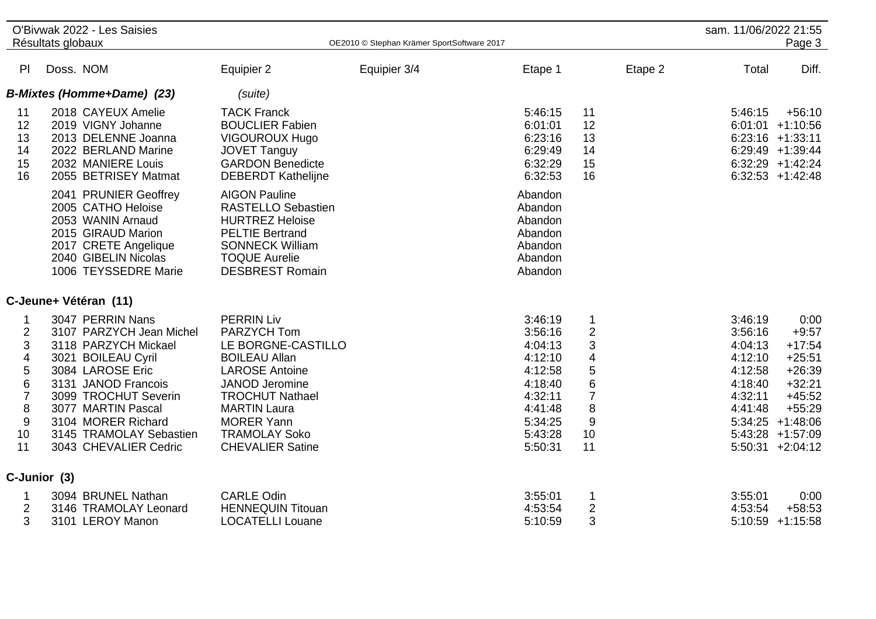|                                                                                                                                          | O'Bivwak 2022 - Les Saisies<br>Résultats globaux                                                                                                                                                                                                              |                                                                                                                                                                                                                                                    | OE2010 © Stephan Krämer SportSoftware 2017 |                                                                                                                       |                                                                        | sam. 11/06/2022 21:55                                                                | Page 3                                                                                                                                                     |
|------------------------------------------------------------------------------------------------------------------------------------------|---------------------------------------------------------------------------------------------------------------------------------------------------------------------------------------------------------------------------------------------------------------|----------------------------------------------------------------------------------------------------------------------------------------------------------------------------------------------------------------------------------------------------|--------------------------------------------|-----------------------------------------------------------------------------------------------------------------------|------------------------------------------------------------------------|--------------------------------------------------------------------------------------|------------------------------------------------------------------------------------------------------------------------------------------------------------|
| PI                                                                                                                                       | Doss. NOM                                                                                                                                                                                                                                                     | Equipier 2                                                                                                                                                                                                                                         | Equipier 3/4                               | Etape 1                                                                                                               | Etape 2                                                                | Total                                                                                | Diff.                                                                                                                                                      |
|                                                                                                                                          | <b>B-Mixtes (Homme+Dame) (23)</b>                                                                                                                                                                                                                             | (suite)                                                                                                                                                                                                                                            |                                            |                                                                                                                       |                                                                        |                                                                                      |                                                                                                                                                            |
| 11<br>12<br>13<br>14<br>15<br>16                                                                                                         | 2018 CAYEUX Amelie<br>2019 VIGNY Johanne<br>2013 DELENNE Joanna<br>2022 BERLAND Marine<br>2032 MANIERE Louis<br>2055 BETRISEY Matmat                                                                                                                          | <b>TACK Franck</b><br><b>BOUCLIER Fabien</b><br><b>VIGOUROUX Hugo</b><br><b>JOVET Tanguy</b><br><b>GARDON Benedicte</b><br><b>DEBERDT Kathelijne</b>                                                                                               |                                            | 5:46:15<br>6:01:01<br>6:23:16<br>6:29:49<br>6:32:29<br>6:32:53                                                        | 11<br>12<br>13<br>14<br>15<br>16                                       | 5:46:15                                                                              | $+56:10$<br>$6:01:01$ +1:10:56<br>$6:23:16$ +1:33:11<br>$6:29:49$ +1:39:44<br>$6:32:29$ +1:42:24<br>$6:32:53 +1:42:48$                                     |
|                                                                                                                                          | 2041 PRUNIER Geoffrey<br>2005 CATHO Heloise<br>2053 WANIN Arnaud<br>2015 GIRAUD Marion<br>2017 CRETE Angelique<br>2040 GIBELIN Nicolas<br>1006 TEYSSEDRE Marie                                                                                                | <b>AIGON Pauline</b><br><b>RASTELLO Sebastien</b><br><b>HURTREZ Heloise</b><br><b>PELTIE Bertrand</b><br><b>SONNECK William</b><br><b>TOQUE Aurelie</b><br><b>DESBREST Romain</b>                                                                  |                                            | Abandon<br>Abandon<br>Abandon<br>Abandon<br>Abandon<br>Abandon<br>Abandon                                             |                                                                        |                                                                                      |                                                                                                                                                            |
|                                                                                                                                          | C-Jeune+ Vétéran (11)                                                                                                                                                                                                                                         |                                                                                                                                                                                                                                                    |                                            |                                                                                                                       |                                                                        |                                                                                      |                                                                                                                                                            |
| 1<br>$\overline{2}$<br>3<br>$\overline{\mathbf{4}}$<br>5<br>$6\phantom{1}6$<br>$\overline{7}$<br>$\bf 8$<br>$\boldsymbol{9}$<br>10<br>11 | 3047 PERRIN Nans<br>3107 PARZYCH Jean Michel<br>3118 PARZYCH Mickael<br>3021 BOILEAU Cyril<br>3084 LAROSE Eric<br>3131 JANOD Francois<br>3099 TROCHUT Severin<br>3077 MARTIN Pascal<br>3104 MORER Richard<br>3145 TRAMOLAY Sebastien<br>3043 CHEVALIER Cedric | <b>PERRIN Liv</b><br>PARZYCH Tom<br>LE BORGNE-CASTILLO<br><b>BOILEAU Allan</b><br><b>LAROSE Antoine</b><br>JANOD Jeromine<br><b>TROCHUT Nathael</b><br><b>MARTIN Laura</b><br><b>MORER Yann</b><br><b>TRAMOLAY Soko</b><br><b>CHEVALIER Satine</b> |                                            | 3:46:19<br>3:56:16<br>4:04:13<br>4:12:10<br>4:12:58<br>4:18:40<br>4:32:11<br>4:41:48<br>5:34:25<br>5:43:28<br>5:50:31 | 1<br>$\overline{2}$<br>3<br>4<br>5<br>6<br>7<br>8<br>$9\,$<br>10<br>11 | 3:46:19<br>3:56:16<br>4:04:13<br>4:12:10<br>4:12:58<br>4:18:40<br>4:32:11<br>4:41:48 | 0:00<br>$+9:57$<br>$+17:54$<br>$+25:51$<br>$+26:39$<br>$+32:21$<br>$+45:52$<br>$+55:29$<br>$5:34:25 +1:48:06$<br>$5:43:28$ +1:57:09<br>$5:50:31 + 2:04:12$ |
|                                                                                                                                          | C-Junior (3)                                                                                                                                                                                                                                                  |                                                                                                                                                                                                                                                    |                                            |                                                                                                                       |                                                                        |                                                                                      |                                                                                                                                                            |
| 1<br>$\overline{2}$<br>3                                                                                                                 | 3094 BRUNEL Nathan<br>3146 TRAMOLAY Leonard<br>3101 LEROY Manon                                                                                                                                                                                               | <b>CARLE Odin</b><br><b>HENNEQUIN Titouan</b><br><b>LOCATELLI Louane</b>                                                                                                                                                                           |                                            | 3:55:01<br>4:53:54<br>5:10:59                                                                                         | 1<br>$\overline{2}$<br>3                                               | 3:55:01<br>4:53:54                                                                   | 0:00<br>$+58:53$<br>$5:10:59$ +1:15:58                                                                                                                     |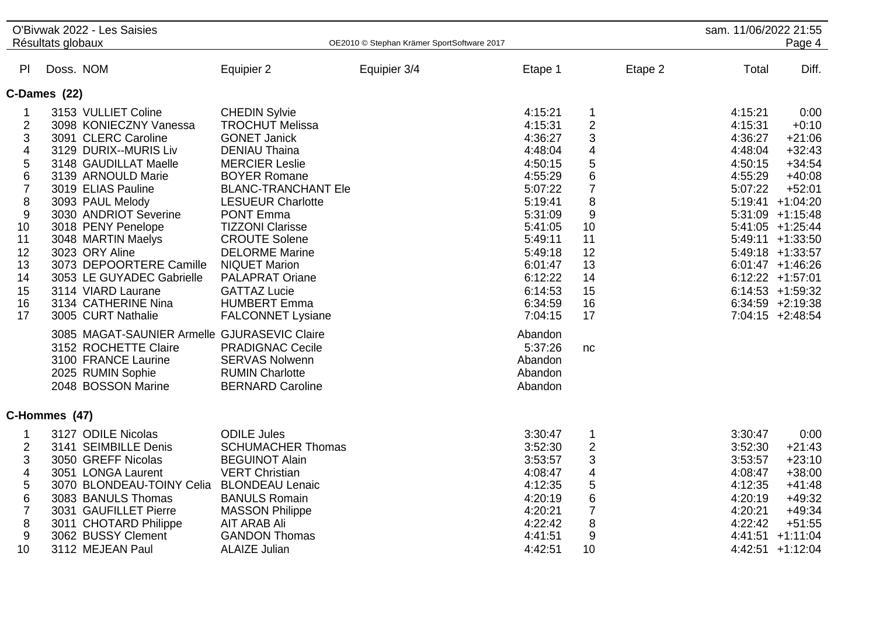|                                                                                                                                    | Résultats globaux | O'Bivwak 2022 - Les Saisies                                                                                                                                                                                                                                                                                                                                                        |                                                                                                                                                                                                                                                                                                                                                                                                         | OE2010 © Stephan Krämer SportSoftware 2017 |                                                                                                                                                                              |                                                                                                                                                                        |         | sam. 11/06/2022 21:55                                                                | Page 4                                                                                                                                                                                                                                                                          |
|------------------------------------------------------------------------------------------------------------------------------------|-------------------|------------------------------------------------------------------------------------------------------------------------------------------------------------------------------------------------------------------------------------------------------------------------------------------------------------------------------------------------------------------------------------|---------------------------------------------------------------------------------------------------------------------------------------------------------------------------------------------------------------------------------------------------------------------------------------------------------------------------------------------------------------------------------------------------------|--------------------------------------------|------------------------------------------------------------------------------------------------------------------------------------------------------------------------------|------------------------------------------------------------------------------------------------------------------------------------------------------------------------|---------|--------------------------------------------------------------------------------------|---------------------------------------------------------------------------------------------------------------------------------------------------------------------------------------------------------------------------------------------------------------------------------|
| PI                                                                                                                                 | Doss. NOM         |                                                                                                                                                                                                                                                                                                                                                                                    | Equipier 2                                                                                                                                                                                                                                                                                                                                                                                              | Equipier 3/4                               | Etape 1                                                                                                                                                                      |                                                                                                                                                                        | Etape 2 | Total                                                                                | Diff.                                                                                                                                                                                                                                                                           |
| C-Dames (22)                                                                                                                       |                   |                                                                                                                                                                                                                                                                                                                                                                                    |                                                                                                                                                                                                                                                                                                                                                                                                         |                                            |                                                                                                                                                                              |                                                                                                                                                                        |         |                                                                                      |                                                                                                                                                                                                                                                                                 |
| 1<br>$\overline{2}$<br>3<br>4<br>5<br>6<br>$\overline{7}$<br>$\,8\,$<br>$\boldsymbol{9}$<br>10<br>11<br>12<br>13<br>14<br>15<br>16 |                   | 3153 VULLIET Coline<br>3098 KONIECZNY Vanessa<br>3091 CLERC Caroline<br>3129 DURIX--MURIS Liv<br>3148 GAUDILLAT Maelle<br>3139 ARNOULD Marie<br>3019 ELIAS Pauline<br>3093 PAUL Melody<br>3030 ANDRIOT Severine<br>3018 PENY Penelope<br>3048 MARTIN Maelys<br>3023 ORY Aline<br>3073 DEPOORTERE Camille<br>3053 LE GUYADEC Gabrielle<br>3114 VIARD Laurane<br>3134 CATHERINE Nina | <b>CHEDIN Sylvie</b><br><b>TROCHUT Melissa</b><br><b>GONET Janick</b><br><b>DENIAU Thaina</b><br><b>MERCIER Leslie</b><br><b>BOYER Romane</b><br><b>BLANC-TRANCHANT Ele</b><br><b>LESUEUR Charlotte</b><br><b>PONT Emma</b><br><b>TIZZONI Clarisse</b><br><b>CROUTE Solene</b><br><b>DELORME Marine</b><br><b>NIQUET Marion</b><br><b>PALAPRAT Oriane</b><br><b>GATTAZ Lucie</b><br><b>HUMBERT Emma</b> |                                            | 4:15:21<br>4:15:31<br>4:36:27<br>4:48:04<br>4:50:15<br>4:55:29<br>5:07:22<br>5:19:41<br>5:31:09<br>5:41:05<br>5:49:11<br>5:49:18<br>6:01:47<br>6:12:22<br>6:14:53<br>6:34:59 | $\mathbf 1$<br>$\overline{2}$<br>3<br>$\overline{\mathbf{4}}$<br>5<br>$\,$ 6 $\,$<br>$\overline{7}$<br>8<br>$\boldsymbol{9}$<br>10<br>11<br>12<br>13<br>14<br>15<br>16 |         | 4:15:21<br>4:15:31<br>4:36:27<br>4:48:04<br>4:50:15<br>4:55:29<br>5:07:22            | 0:00<br>$+0:10$<br>$+21:06$<br>$+32:43$<br>$+34:54$<br>$+40:08$<br>$+52:01$<br>5:19:41 +1:04:20<br>$5:31:09$ +1:15:48<br>$5:41:05$ +1:25:44<br>$5:49:11 + 1:33:50$<br>5:49:18 +1:33:57<br>$6:01:47$ +1:46:26<br>$6:12:22 +1:57:01$<br>$6:14:53 + 1:59:32$<br>$6:34:59$ +2:19:38 |
| 17                                                                                                                                 |                   | 3005 CURT Nathalie<br>3085 MAGAT-SAUNIER Armelle GJURASEVIC Claire<br>3152 ROCHETTE Claire<br>3100 FRANCE Laurine<br>2025 RUMIN Sophie<br>2048 BOSSON Marine                                                                                                                                                                                                                       | <b>FALCONNET Lysiane</b><br><b>PRADIGNAC Cecile</b><br><b>SERVAS Nolwenn</b><br><b>RUMIN Charlotte</b><br><b>BERNARD Caroline</b>                                                                                                                                                                                                                                                                       |                                            | 7:04:15<br>Abandon<br>5:37:26<br>Abandon<br>Abandon<br>Abandon                                                                                                               | 17<br>nc                                                                                                                                                               |         |                                                                                      | 7:04:15 +2:48:54                                                                                                                                                                                                                                                                |
| C-Hommes (47)                                                                                                                      |                   |                                                                                                                                                                                                                                                                                                                                                                                    |                                                                                                                                                                                                                                                                                                                                                                                                         |                                            |                                                                                                                                                                              |                                                                                                                                                                        |         |                                                                                      |                                                                                                                                                                                                                                                                                 |
| $\mathbf 1$<br>$\overline{2}$<br>3<br>4<br>5<br>6<br>$\overline{7}$<br>8<br>9<br>10                                                |                   | 3127 ODILE Nicolas<br>3141 SEIMBILLE Denis<br>3050 GREFF Nicolas<br>3051 LONGA Laurent<br>3070 BLONDEAU-TOINY Celia BLONDEAU Lenaic<br>3083 BANULS Thomas<br>3031 GAUFILLET Pierre<br>3011 CHOTARD Philippe<br>3062 BUSSY Clement<br>3112 MEJEAN Paul                                                                                                                              | <b>ODILE Jules</b><br><b>SCHUMACHER Thomas</b><br><b>BEGUINOT Alain</b><br><b>VERT Christian</b><br><b>BANULS Romain</b><br><b>MASSON Philippe</b><br>AIT ARAB Ali<br><b>GANDON Thomas</b><br><b>ALAIZE Julian</b>                                                                                                                                                                                      |                                            | 3:30:47<br>3:52:30<br>3:53:57<br>4:08:47<br>4:12:35<br>4:20:19<br>4:20:21<br>4:22:42<br>4:41:51<br>4:42:51                                                                   | $\mathbf 1$<br>$\mathbf 2$<br>$\ensuremath{\mathsf{3}}$<br>4<br>$\sqrt{5}$<br>$\,6$<br>$\overline{7}$<br>8<br>$\boldsymbol{9}$<br>10                                   |         | 3:30:47<br>3:52:30<br>3:53:57<br>4:08:47<br>4:12:35<br>4:20:19<br>4:20:21<br>4:22:42 | 0:00<br>$+21:43$<br>$+23:10$<br>$+38:00$<br>$+41:48$<br>$+49:32$<br>$+49:34$<br>$+51:55$<br>4:41:51 +1:11:04<br>4:42:51 +1:12:04                                                                                                                                                |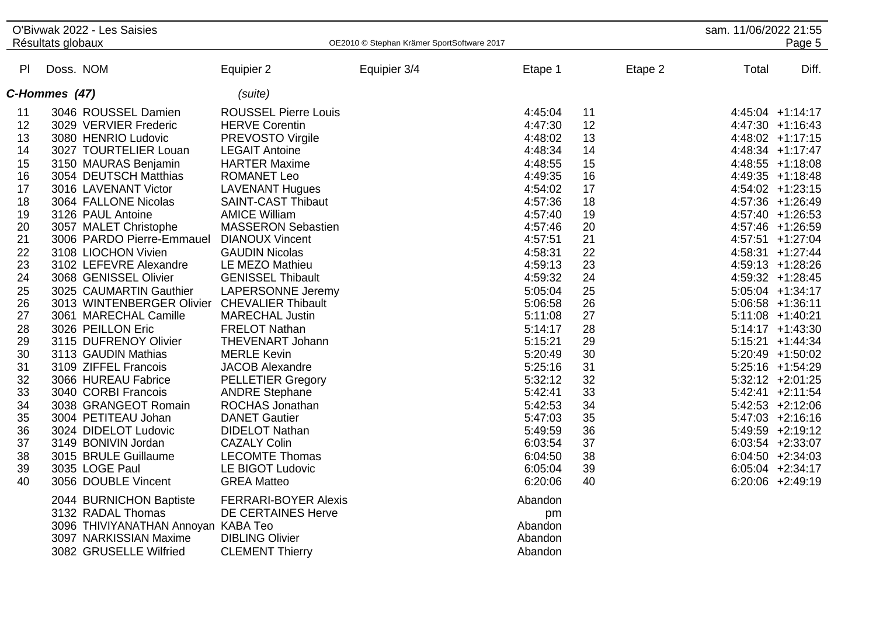|    |                   | O'Bivwak 2022 - Les Saisies                  |                             |                                            |         |         | sam. 11/06/2022 21:55 |                     |
|----|-------------------|----------------------------------------------|-----------------------------|--------------------------------------------|---------|---------|-----------------------|---------------------|
|    | Résultats globaux |                                              |                             | OE2010 © Stephan Krämer SportSoftware 2017 |         |         |                       | Page 5              |
| PI | Doss. NOM         |                                              | Equipier 2                  | Equipier 3/4                               | Etape 1 | Etape 2 | Total                 | Diff.               |
|    | C-Hommes (47)     |                                              | (suite)                     |                                            |         |         |                       |                     |
| 11 |                   | 3046 ROUSSEL Damien                          | <b>ROUSSEL Pierre Louis</b> |                                            | 4:45:04 | 11      |                       | 4:45:04 +1:14:17    |
| 12 |                   | 3029 VERVIER Frederic                        | <b>HERVE Corentin</b>       |                                            | 4:47:30 | 12      |                       | $4:47:30 +1:16:43$  |
| 13 |                   | 3080 HENRIO Ludovic                          | <b>PREVOSTO Virgile</b>     |                                            | 4:48:02 | 13      |                       | 4:48:02 +1:17:15    |
| 14 |                   | 3027 TOURTELIER Louan                        | <b>LEGAIT Antoine</b>       |                                            | 4:48:34 | 14      |                       | 4:48:34 +1:17:47    |
| 15 |                   | 3150 MAURAS Benjamin                         | <b>HARTER Maxime</b>        |                                            | 4:48:55 | 15      |                       | $4:48:55$ +1:18:08  |
| 16 |                   | 3054 DEUTSCH Matthias                        | <b>ROMANET Leo</b>          |                                            | 4:49:35 | 16      |                       | $4:49:35$ +1:18:48  |
| 17 |                   | 3016 LAVENANT Victor                         | <b>LAVENANT Hugues</b>      |                                            | 4:54:02 | 17      |                       | 4:54:02 +1:23:15    |
| 18 |                   | 3064 FALLONE Nicolas                         | <b>SAINT-CAST Thibaut</b>   |                                            | 4:57:36 | 18      |                       | 4:57:36 +1:26:49    |
| 19 |                   | 3126 PAUL Antoine                            | <b>AMICE William</b>        |                                            | 4:57:40 | 19      |                       | 4:57:40 +1:26:53    |
| 20 |                   | 3057 MALET Christophe                        | <b>MASSERON Sebastien</b>   |                                            | 4:57:46 | 20      |                       | 4:57:46 +1:26:59    |
| 21 |                   | 3006 PARDO Pierre-Emmauel DIANOUX Vincent    |                             |                                            | 4:57:51 | 21      |                       | 4:57:51 +1:27:04    |
| 22 |                   | 3108 LIOCHON Vivien                          | <b>GAUDIN Nicolas</b>       |                                            | 4:58:31 | 22      |                       | 4:58:31 +1:27:44    |
| 23 |                   | 3102 LEFEVRE Alexandre                       | LE MEZO Mathieu             |                                            | 4:59:13 | 23      |                       | $4:59:13 +1:28:26$  |
| 24 |                   | 3068 GENISSEL Olivier                        | <b>GENISSEL Thibault</b>    |                                            | 4:59:32 | 24      |                       | 4:59:32 +1:28:45    |
| 25 |                   | 3025 CAUMARTIN Gauthier                      | <b>LAPERSONNE Jeremy</b>    |                                            | 5:05:04 | 25      |                       | $5:05:04$ +1:34:17  |
| 26 |                   | 3013 WINTENBERGER Olivier CHEVALIER Thibault |                             |                                            | 5:06:58 | 26      |                       | $5:06:58$ +1:36:11  |
| 27 |                   | 3061 MARECHAL Camille                        | <b>MARECHAL Justin</b>      |                                            | 5:11:08 | 27      |                       | $5:11:08$ +1:40:21  |
| 28 |                   | 3026 PEILLON Eric                            | <b>FRELOT Nathan</b>        |                                            | 5:14:17 | 28      |                       | $5:14:17 +1:43:30$  |
| 29 |                   | 3115 DUFRENOY Olivier                        | THEVENART Johann            |                                            | 5:15:21 | 29      |                       | $5:15:21 + 1:44:34$ |
| 30 |                   | 3113 GAUDIN Mathias                          | <b>MERLE Kevin</b>          |                                            | 5:20:49 | 30      |                       | $5:20:49$ +1:50:02  |
| 31 |                   | 3109 ZIFFEL Francois                         | <b>JACOB Alexandre</b>      |                                            | 5:25:16 | 31      |                       | $5:25:16$ +1:54:29  |
| 32 |                   | 3066 HUREAU Fabrice                          | <b>PELLETIER Gregory</b>    |                                            | 5:32:12 | 32      |                       | $5:32:12 +2:01:25$  |
| 33 |                   | 3040 CORBI Francois                          | <b>ANDRE Stephane</b>       |                                            | 5:42:41 | 33      |                       | $5:42:41 +2:11:54$  |
| 34 |                   | 3038 GRANGEOT Romain                         | <b>ROCHAS Jonathan</b>      |                                            | 5:42:53 | 34      |                       | $5:42:53$ +2:12:06  |
| 35 |                   | 3004 PETITEAU Johan                          | <b>DANET Gautier</b>        |                                            | 5:47:03 | 35      |                       | $5:47:03$ +2:16:16  |
| 36 |                   | 3024 DIDELOT Ludovic                         | <b>DIDELOT Nathan</b>       |                                            | 5:49:59 | 36      |                       | 5:49:59 +2:19:12    |
| 37 |                   | 3149 BONIVIN Jordan                          | <b>CAZALY Colin</b>         |                                            | 6:03:54 | 37      |                       | $6:03:54$ +2:33:07  |
| 38 |                   | 3015 BRULE Guillaume                         | <b>LECOMTE Thomas</b>       |                                            | 6:04:50 | 38      |                       | $6:04:50 +2:34:03$  |
| 39 |                   | 3035 LOGE Paul                               | LE BIGOT Ludovic            |                                            | 6:05:04 | 39      |                       | $6:05:04$ +2:34:17  |
| 40 |                   | 3056 DOUBLE Vincent                          | <b>GREA Matteo</b>          |                                            | 6:20:06 | 40      |                       | $6:20:06$ +2:49:19  |
|    |                   | 2044 BURNICHON Baptiste                      | <b>FERRARI-BOYER Alexis</b> |                                            | Abandon |         |                       |                     |
|    |                   | 3132 RADAL Thomas                            | <b>DE CERTAINES Herve</b>   |                                            | pm      |         |                       |                     |
|    |                   | 3096 THIVIYANATHAN Annoyan KABA Teo          |                             |                                            | Abandon |         |                       |                     |
|    |                   | 3097 NARKISSIAN Maxime                       | <b>DIBLING Olivier</b>      |                                            | Abandon |         |                       |                     |
|    |                   | 3082 GRUSELLE Wilfried                       | <b>CLEMENT Thierry</b>      |                                            | Abandon |         |                       |                     |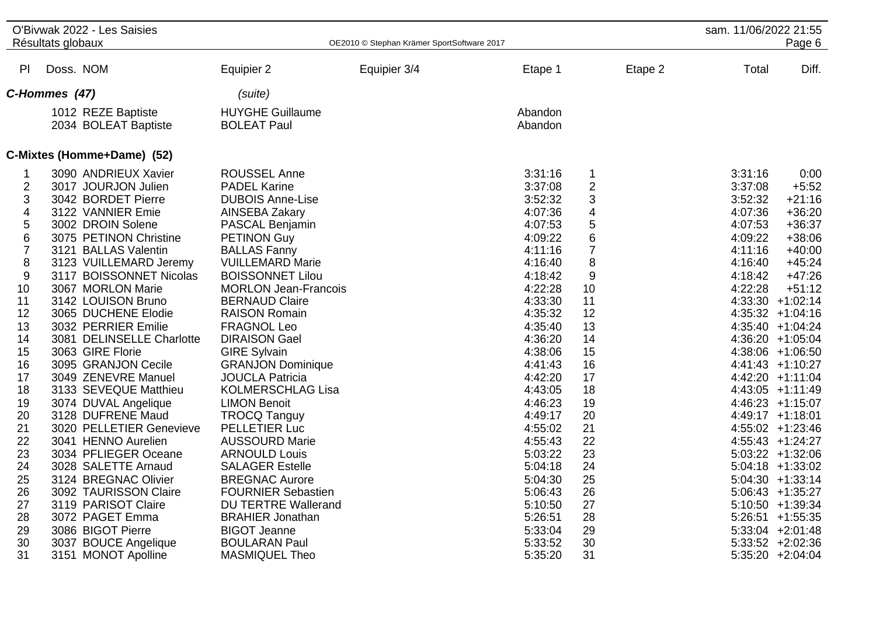|                                                                                                                                                                                      | O'Bivwak 2022 - Les Saisies<br>Résultats globaux                                                                                                                                                                                                                                                                                                                                                                                                                                                                                                                                                                                                                                                                           |                                                                                                                                                                                                                                                                                                                                                                                                                                                                                                                                                                                                                                                                                                                                                              | OE2010 © Stephan Krämer SportSoftware 2017 |                                                                                                                                                                                                                                                                                                                                        |                                                                                                                                                                                               | sam. 11/06/2022 21:55                                                                                      | Page 6                                                                                                                                                                                                                                                                                                                                                                                                                                                                                                                                                        |
|--------------------------------------------------------------------------------------------------------------------------------------------------------------------------------------|----------------------------------------------------------------------------------------------------------------------------------------------------------------------------------------------------------------------------------------------------------------------------------------------------------------------------------------------------------------------------------------------------------------------------------------------------------------------------------------------------------------------------------------------------------------------------------------------------------------------------------------------------------------------------------------------------------------------------|--------------------------------------------------------------------------------------------------------------------------------------------------------------------------------------------------------------------------------------------------------------------------------------------------------------------------------------------------------------------------------------------------------------------------------------------------------------------------------------------------------------------------------------------------------------------------------------------------------------------------------------------------------------------------------------------------------------------------------------------------------------|--------------------------------------------|----------------------------------------------------------------------------------------------------------------------------------------------------------------------------------------------------------------------------------------------------------------------------------------------------------------------------------------|-----------------------------------------------------------------------------------------------------------------------------------------------------------------------------------------------|------------------------------------------------------------------------------------------------------------|---------------------------------------------------------------------------------------------------------------------------------------------------------------------------------------------------------------------------------------------------------------------------------------------------------------------------------------------------------------------------------------------------------------------------------------------------------------------------------------------------------------------------------------------------------------|
| PI                                                                                                                                                                                   | Doss. NOM                                                                                                                                                                                                                                                                                                                                                                                                                                                                                                                                                                                                                                                                                                                  | Equipier 2                                                                                                                                                                                                                                                                                                                                                                                                                                                                                                                                                                                                                                                                                                                                                   | Equipier 3/4                               | Etape 1                                                                                                                                                                                                                                                                                                                                | Etape 2                                                                                                                                                                                       | Total                                                                                                      | Diff.                                                                                                                                                                                                                                                                                                                                                                                                                                                                                                                                                         |
|                                                                                                                                                                                      | C-Hommes (47)                                                                                                                                                                                                                                                                                                                                                                                                                                                                                                                                                                                                                                                                                                              | (suite)                                                                                                                                                                                                                                                                                                                                                                                                                                                                                                                                                                                                                                                                                                                                                      |                                            |                                                                                                                                                                                                                                                                                                                                        |                                                                                                                                                                                               |                                                                                                            |                                                                                                                                                                                                                                                                                                                                                                                                                                                                                                                                                               |
|                                                                                                                                                                                      | 1012 REZE Baptiste<br>2034 BOLEAT Baptiste                                                                                                                                                                                                                                                                                                                                                                                                                                                                                                                                                                                                                                                                                 | <b>HUYGHE Guillaume</b><br><b>BOLEAT Paul</b>                                                                                                                                                                                                                                                                                                                                                                                                                                                                                                                                                                                                                                                                                                                |                                            | Abandon<br>Abandon                                                                                                                                                                                                                                                                                                                     |                                                                                                                                                                                               |                                                                                                            |                                                                                                                                                                                                                                                                                                                                                                                                                                                                                                                                                               |
|                                                                                                                                                                                      | C-Mixtes (Homme+Dame) (52)                                                                                                                                                                                                                                                                                                                                                                                                                                                                                                                                                                                                                                                                                                 |                                                                                                                                                                                                                                                                                                                                                                                                                                                                                                                                                                                                                                                                                                                                                              |                                            |                                                                                                                                                                                                                                                                                                                                        |                                                                                                                                                                                               |                                                                                                            |                                                                                                                                                                                                                                                                                                                                                                                                                                                                                                                                                               |
| 1<br>2<br>3<br>4<br>5<br>6<br>$\overline{7}$<br>8<br>9<br>10<br>11<br>12<br>13<br>14<br>15<br>16<br>17<br>18<br>19<br>20<br>21<br>22<br>23<br>24<br>25<br>26<br>27<br>28<br>29<br>30 | 3090 ANDRIEUX Xavier<br>3017 JOURJON Julien<br>3042 BORDET Pierre<br>3122 VANNIER Emie<br>3002 DROIN Solene<br>3075 PETINON Christine<br>3121 BALLAS Valentin<br>3123 VUILLEMARD Jeremy<br>3117 BOISSONNET Nicolas<br>3067 MORLON Marie<br>3142 LOUISON Bruno<br>3065 DUCHENE Elodie<br>3032 PERRIER Emilie<br>3081 DELINSELLE Charlotte<br>3063 GIRE Florie<br>3095 GRANJON Cecile<br>3049 ZENEVRE Manuel<br>3133 SEVEQUE Matthieu<br>3074 DUVAL Angelique<br>3128 DUFRENE Maud<br>3020 PELLETIER Genevieve<br>3041 HENNO Aurelien<br>3034 PFLIEGER Oceane<br>3028 SALETTE Arnaud<br>3124 BREGNAC Olivier<br>3092 TAURISSON Claire<br>3119 PARISOT Claire<br>3072 PAGET Emma<br>3086 BIGOT Pierre<br>3037 BOUCE Angelique | <b>ROUSSEL Anne</b><br><b>PADEL Karine</b><br><b>DUBOIS Anne-Lise</b><br>AINSEBA Zakary<br>PASCAL Benjamin<br><b>PETINON Guy</b><br><b>BALLAS Fanny</b><br><b>VUILLEMARD Marie</b><br><b>BOISSONNET Lilou</b><br><b>MORLON Jean-Francois</b><br><b>BERNAUD Claire</b><br><b>RAISON Romain</b><br><b>FRAGNOL Leo</b><br><b>DIRAISON Gael</b><br><b>GIRE Sylvain</b><br><b>GRANJON Dominique</b><br><b>JOUCLA Patricia</b><br><b>KOLMERSCHLAG Lisa</b><br><b>LIMON Benoit</b><br><b>TROCQ Tanguy</b><br>PELLETIER Luc<br><b>AUSSOURD Marie</b><br><b>ARNOULD Louis</b><br><b>SALAGER Estelle</b><br><b>BREGNAC Aurore</b><br><b>FOURNIER Sebastien</b><br><b>DU TERTRE Wallerand</b><br><b>BRAHIER Jonathan</b><br><b>BIGOT Jeanne</b><br><b>BOULARAN Paul</b> |                                            | 3:31:16<br>3:37:08<br>3:52:32<br>4:07:36<br>4:07:53<br>4:09:22<br>4:11:16<br>4:16:40<br>4:18:42<br>4:22:28<br>4:33:30<br>4:35:32<br>4:35:40<br>4:36:20<br>4:38:06<br>4:41:43<br>4:42:20<br>4:43:05<br>4:46:23<br>4:49:17<br>4:55:02<br>4:55:43<br>5:03:22<br>5:04:18<br>5:04:30<br>5:06:43<br>5:10:50<br>5:26:51<br>5:33:04<br>5:33:52 | 1<br>2<br>3<br>4<br>$\sqrt{5}$<br>6<br>$\overline{7}$<br>8<br>9<br>10<br>11<br>12<br>13<br>14<br>15<br>16<br>17<br>18<br>19<br>20<br>21<br>22<br>23<br>24<br>25<br>26<br>27<br>28<br>29<br>30 | 3:31:16<br>3:37:08<br>3:52:32<br>4:07:36<br>4:07:53<br>4:09:22<br>4:11:16<br>4:16:40<br>4:18:42<br>4:22:28 | 0:00<br>$+5:52$<br>$+21:16$<br>$+36:20$<br>$+36:37$<br>$+38:06$<br>$+40:00$<br>$+45:24$<br>$+47:26$<br>$+51:12$<br>4:33:30 +1:02:14<br>$4:35:32 +1:04:16$<br>4:35:40 +1:04:24<br>4:36:20 +1:05:04<br>4:38:06 +1:06:50<br>$4:41:43 +1:10:27$<br>$4:42:20 +1:11:04$<br>$4:43:05$ +1:11:49<br>$4:46:23 +1:15:07$<br>$4:49:17 +1:18:01$<br>$4:55:02 +1:23:46$<br>$4:55:43$ +1:24:27<br>$5:03:22 +1:32:06$<br>$5:04:18$ +1:33:02<br>$5:04:30 +1:33:14$<br>$5:06:43 +1:35:27$<br>5:10:50 +1:39:34<br>$5:26:51 +1:55:35$<br>$5:33:04$ +2:01:48<br>$5:33:52 +2:02:36$ |
| 31                                                                                                                                                                                   | 3151 MONOT Apolline                                                                                                                                                                                                                                                                                                                                                                                                                                                                                                                                                                                                                                                                                                        | MASMIQUEL Theo                                                                                                                                                                                                                                                                                                                                                                                                                                                                                                                                                                                                                                                                                                                                               |                                            | 5:35:20                                                                                                                                                                                                                                                                                                                                | 31                                                                                                                                                                                            |                                                                                                            | $5:35:20 +2:04:04$                                                                                                                                                                                                                                                                                                                                                                                                                                                                                                                                            |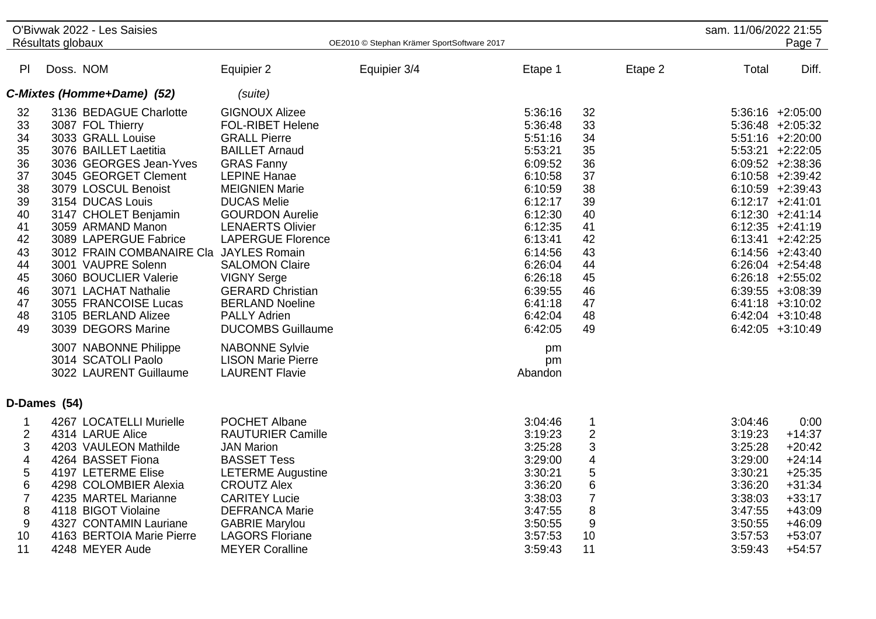|                                                                                                          | O'Bivwak 2022 - Les Saisies<br>Résultats globaux                                                                                                                                                                                                                                                                                                                                                                                                                                                              |                                                                                                                                                                                                                                                                                                                                                                                                                                                                                                                                            | OE2010 © Stephan Krämer SportSoftware 2017 |                                                                                                                                                                                                                           |                                                                                                          | sam. 11/06/2022 21:55                                                                                      | Page 7                                                                                                                                                                                                                                                                                                                                                                                                  |
|----------------------------------------------------------------------------------------------------------|---------------------------------------------------------------------------------------------------------------------------------------------------------------------------------------------------------------------------------------------------------------------------------------------------------------------------------------------------------------------------------------------------------------------------------------------------------------------------------------------------------------|--------------------------------------------------------------------------------------------------------------------------------------------------------------------------------------------------------------------------------------------------------------------------------------------------------------------------------------------------------------------------------------------------------------------------------------------------------------------------------------------------------------------------------------------|--------------------------------------------|---------------------------------------------------------------------------------------------------------------------------------------------------------------------------------------------------------------------------|----------------------------------------------------------------------------------------------------------|------------------------------------------------------------------------------------------------------------|---------------------------------------------------------------------------------------------------------------------------------------------------------------------------------------------------------------------------------------------------------------------------------------------------------------------------------------------------------------------------------------------------------|
| P <sub>1</sub>                                                                                           | Doss. NOM                                                                                                                                                                                                                                                                                                                                                                                                                                                                                                     | Equipier 2                                                                                                                                                                                                                                                                                                                                                                                                                                                                                                                                 | Equipier 3/4                               | Etape 1                                                                                                                                                                                                                   | Etape 2                                                                                                  | Total                                                                                                      | Diff.                                                                                                                                                                                                                                                                                                                                                                                                   |
|                                                                                                          | C-Mixtes (Homme+Dame) (52)                                                                                                                                                                                                                                                                                                                                                                                                                                                                                    | (suite)                                                                                                                                                                                                                                                                                                                                                                                                                                                                                                                                    |                                            |                                                                                                                                                                                                                           |                                                                                                          |                                                                                                            |                                                                                                                                                                                                                                                                                                                                                                                                         |
| 32<br>33<br>34<br>35<br>36<br>37<br>38<br>39<br>40<br>41<br>42<br>43<br>44<br>45<br>46<br>47<br>48<br>49 | 3136 BEDAGUE Charlotte<br>3087 FOL Thierry<br>3033 GRALL Louise<br>3076 BAILLET Laetitia<br>3036 GEORGES Jean-Yves<br>3045 GEORGET Clement<br>3079 LOSCUL Benoist<br>3154 DUCAS Louis<br>3147 CHOLET Benjamin<br>3059 ARMAND Manon<br>3089 LAPERGUE Fabrice<br>3012 FRAIN COMBANAIRE Cla<br>3001 VAUPRE Solenn<br>3060 BOUCLIER Valerie<br>3071 LACHAT Nathalie<br>3055 FRANCOISE Lucas<br>3105 BERLAND Alizee<br>3039 DEGORS Marine<br>3007 NABONNE Philippe<br>3014 SCATOLI Paolo<br>3022 LAURENT Guillaume | <b>GIGNOUX Alizee</b><br><b>FOL-RIBET Helene</b><br><b>GRALL Pierre</b><br><b>BAILLET Arnaud</b><br><b>GRAS Fanny</b><br><b>LEPINE Hanae</b><br><b>MEIGNIEN Marie</b><br><b>DUCAS Melie</b><br><b>GOURDON Aurelie</b><br><b>LENAERTS Olivier</b><br><b>LAPERGUE Florence</b><br><b>JAYLES Romain</b><br><b>SALOMON Claire</b><br><b>VIGNY Serge</b><br><b>GERARD Christian</b><br><b>BERLAND Noeline</b><br><b>PALLY Adrien</b><br><b>DUCOMBS Guillaume</b><br><b>NABONNE Sylvie</b><br><b>LISON Marie Pierre</b><br><b>LAURENT Flavie</b> |                                            | 5:36:16<br>5:36:48<br>5:51:16<br>5:53:21<br>6:09:52<br>6:10:58<br>6:10:59<br>6:12:17<br>6:12:30<br>6:12:35<br>6:13:41<br>6:14:56<br>6:26:04<br>6:26:18<br>6:39:55<br>6:41:18<br>6:42:04<br>6:42:05<br>pm<br>pm<br>Abandon | 32<br>33<br>34<br>35<br>36<br>37<br>38<br>39<br>40<br>41<br>42<br>43<br>44<br>45<br>46<br>47<br>48<br>49 |                                                                                                            | $5:36:16$ +2:05:00<br>$5:36:48$ +2:05:32<br>$5:51:16 + 2:20:00$<br>$5:53:21 +2:22:05$<br>$6:09:52 +2:38:36$<br>$6:10:58$ +2:39:42<br>6:10:59 +2:39:43<br>$6:12:17 +2:41:01$<br>$6:12:30 +2:41:14$<br>$6:12:35$ +2:41:19<br>$6:13:41 +2:42:25$<br>$6:14:56$ +2:43:40<br>$6:26:04$ +2:54:48<br>$6:26:18$ +2:55:02<br>$6:39:55$ +3:08:39<br>$6:41:18$ +3:10:02<br>$6:42:04$ +3:10:48<br>$6:42:05$ +3:10:49 |
|                                                                                                          | D-Dames (54)                                                                                                                                                                                                                                                                                                                                                                                                                                                                                                  |                                                                                                                                                                                                                                                                                                                                                                                                                                                                                                                                            |                                            |                                                                                                                                                                                                                           |                                                                                                          |                                                                                                            |                                                                                                                                                                                                                                                                                                                                                                                                         |
| 1<br>$\mathbf{2}$<br>3<br>$\overline{\mathbf{4}}$<br>5<br>6<br>$\overline{7}$<br>$\,8\,$<br>9<br>10      | 4267 LOCATELLI Murielle<br>4314 LARUE Alice<br>4203 VAULEON Mathilde<br>4264 BASSET Fiona<br>4197 LETERME Elise<br>4298 COLOMBIER Alexia<br>4235 MARTEL Marianne<br>4118 BIGOT Violaine<br>4327 CONTAMIN Lauriane<br>4163 BERTOIA Marie Pierre                                                                                                                                                                                                                                                                | POCHET Albane<br><b>RAUTURIER Camille</b><br><b>JAN Marion</b><br><b>BASSET Tess</b><br><b>LETERME Augustine</b><br><b>CROUTZ Alex</b><br><b>CARITEY Lucie</b><br><b>DEFRANCA Marie</b><br><b>GABRIE Marylou</b><br><b>LAGORS Floriane</b>                                                                                                                                                                                                                                                                                                 |                                            | 3:04:46<br>3:19:23<br>3:25:28<br>3:29:00<br>3:30:21<br>3:36:20<br>3:38:03<br>3:47:55<br>3:50:55<br>3:57:53                                                                                                                | 1<br>$\overline{2}$<br>3<br>4<br>5<br>6<br>$\overline{7}$<br>8<br>9<br>10                                | 3:04:46<br>3:19:23<br>3:25:28<br>3:29:00<br>3:30:21<br>3:36:20<br>3:38:03<br>3:47:55<br>3:50:55<br>3:57:53 | 0:00<br>$+14:37$<br>$+20:42$<br>$+24:14$<br>$+25:35$<br>$+31:34$<br>$+33:17$<br>$+43:09$<br>$+46:09$<br>$+53:07$                                                                                                                                                                                                                                                                                        |
| 11                                                                                                       | 4248 MEYER Aude                                                                                                                                                                                                                                                                                                                                                                                                                                                                                               | <b>MEYER Coralline</b>                                                                                                                                                                                                                                                                                                                                                                                                                                                                                                                     |                                            | 3:59:43                                                                                                                                                                                                                   | 11                                                                                                       | 3:59:43                                                                                                    | $+54:57$                                                                                                                                                                                                                                                                                                                                                                                                |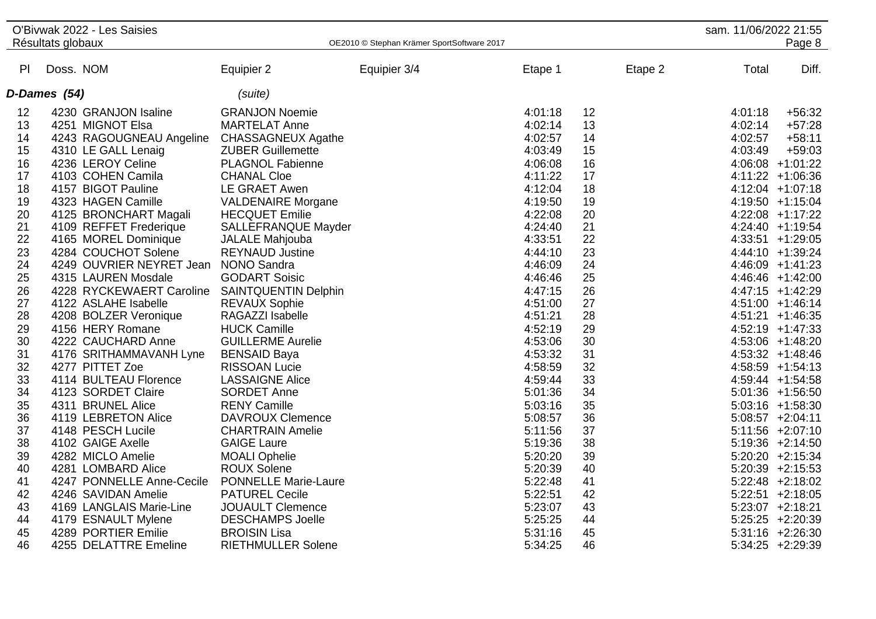|        |                   | O'Bivwak 2022 - Les Saisies                   |                             |                                            |         |         | sam. 11/06/2022 21:55 |                    |
|--------|-------------------|-----------------------------------------------|-----------------------------|--------------------------------------------|---------|---------|-----------------------|--------------------|
|        | Résultats globaux |                                               |                             | OE2010 © Stephan Krämer SportSoftware 2017 |         |         |                       | Page 8             |
|        |                   |                                               |                             |                                            |         |         |                       |                    |
| PI     | Doss. NOM         |                                               | Equipier 2                  | Equipier 3/4                               | Etape 1 | Etape 2 | Total                 | Diff.              |
|        | D-Dames (54)      |                                               | (suite)                     |                                            |         |         |                       |                    |
| 12     |                   | 4230 GRANJON Isaline                          | <b>GRANJON Noemie</b>       |                                            | 4:01:18 | 12      | 4:01:18               | $+56:32$           |
| 13     |                   | 4251 MIGNOT Elsa                              | <b>MARTELAT Anne</b>        |                                            | 4:02:14 | 13      | 4:02:14               | $+57:28$           |
| 14     |                   | 4243 RAGOUGNEAU Angeline                      | <b>CHASSAGNEUX Agathe</b>   |                                            | 4:02:57 | 14      | 4:02:57               | $+58:11$           |
| 15     |                   | 4310 LE GALL Lenaig                           | <b>ZUBER Guillemette</b>    |                                            | 4:03:49 | 15      | 4:03:49               | $+59:03$           |
| 16     |                   | 4236 LEROY Celine                             | <b>PLAGNOL Fabienne</b>     |                                            | 4:06:08 | 16      |                       | 4:06:08 +1:01:22   |
| 17     |                   | 4103 COHEN Camila                             | <b>CHANAL Cloe</b>          |                                            | 4:11:22 | 17      |                       | 4:11:22 +1:06:36   |
| 18     |                   | 4157 BIGOT Pauline                            | LE GRAET Awen               |                                            | 4:12:04 | 18      |                       | 4:12:04 +1:07:18   |
| 19     |                   | 4323 HAGEN Camille                            | <b>VALDENAIRE Morgane</b>   |                                            | 4:19:50 | 19      |                       | 4:19:50 +1:15:04   |
| 20     |                   | 4125 BRONCHART Magali                         | <b>HECQUET Emilie</b>       |                                            | 4:22:08 | 20      |                       | $4:22:08$ +1:17:22 |
| 21     |                   | 4109 REFFET Frederique                        | SALLEFRANQUE Mayder         |                                            | 4:24:40 | 21      |                       | 4:24:40 +1:19:54   |
| 22     |                   | 4165 MOREL Dominique                          | JALALE Mahjouba             |                                            | 4:33:51 | 22      |                       | 4:33:51 +1:29:05   |
| 23     |                   | 4284 COUCHOT Solene                           | <b>REYNAUD Justine</b>      |                                            | 4:44:10 | 23      |                       | 4:44:10 +1:39:24   |
| 24     |                   | 4249 OUVRIER NEYRET Jean                      | <b>NONO Sandra</b>          |                                            | 4:46:09 | 24      |                       | 4:46:09 +1:41:23   |
| 25     |                   | 4315 LAUREN Mosdale                           | <b>GODART Soisic</b>        |                                            | 4:46:46 | 25      |                       | 4:46:46 +1:42:00   |
| 26     |                   | 4228 RYCKEWAERT Caroline SAINTQUENTIN Delphin |                             |                                            | 4:47:15 | 26      |                       | $4:47:15$ +1:42:29 |
| 27     |                   | 4122 ASLAHE Isabelle                          | <b>REVAUX Sophie</b>        |                                            | 4:51:00 | 27      |                       | 4:51:00 +1:46:14   |
| 28     |                   | 4208 BOLZER Veronique                         | RAGAZZI Isabelle            |                                            | 4:51:21 | 28      |                       | $4:51:21 +1:46:35$ |
| 29     |                   | 4156 HERY Romane                              | <b>HUCK Camille</b>         |                                            | 4:52:19 | 29      |                       | $4:52:19$ +1:47:33 |
| $30\,$ |                   | 4222 CAUCHARD Anne                            | <b>GUILLERME Aurelie</b>    |                                            | 4:53:06 | 30      |                       | 4:53:06 +1:48:20   |
| 31     |                   | 4176 SRITHAMMAVANH Lyne                       | <b>BENSAID Baya</b>         |                                            | 4:53:32 | 31      |                       | $4:53:32 +1:48:46$ |
| 32     |                   | 4277 PITTET Zoe                               | <b>RISSOAN Lucie</b>        |                                            | 4:58:59 | 32      |                       | 4:58:59 +1:54:13   |
| 33     |                   | 4114 BULTEAU Florence                         | <b>LASSAIGNE Alice</b>      |                                            | 4:59:44 | 33      |                       | 4:59:44 +1:54:58   |
| 34     |                   | 4123 SORDET Claire                            | <b>SORDET Anne</b>          |                                            | 5:01:36 | 34      |                       | 5:01:36 +1:56:50   |
| 35     |                   | 4311 BRUNEL Alice                             | <b>RENY Camille</b>         |                                            | 5:03:16 | 35      |                       | $5:03:16$ +1:58:30 |
| 36     |                   | 4119 LEBRETON Alice                           | <b>DAVROUX Clemence</b>     |                                            | 5:08:57 | 36      |                       | $5:08:57 +2:04:11$ |
| 37     |                   | 4148 PESCH Lucile                             | <b>CHARTRAIN Amelie</b>     |                                            | 5:11:56 | 37      |                       | 5:11:56 +2:07:10   |
| 38     |                   | 4102 GAIGE Axelle                             | <b>GAIGE Laure</b>          |                                            | 5:19:36 | 38      |                       | $5:19:36$ +2:14:50 |
| 39     |                   | 4282 MICLO Amelie                             | <b>MOALI Ophelie</b>        |                                            | 5:20:20 | 39      |                       | $5:20:20$ +2:15:34 |
| 40     |                   | 4281 LOMBARD Alice                            | <b>ROUX Solene</b>          |                                            | 5:20:39 | 40      |                       | 5:20:39 +2:15:53   |
| 41     |                   | 4247 PONNELLE Anne-Cecile                     | <b>PONNELLE Marie-Laure</b> |                                            | 5:22:48 | 41      |                       | $5:22:48$ +2:18:02 |
| 42     |                   | 4246 SAVIDAN Amelie                           | <b>PATUREL Cecile</b>       |                                            | 5:22:51 | 42      |                       | $5:22:51$ +2:18:05 |
| 43     |                   | 4169 LANGLAIS Marie-Line                      | <b>JOUAULT Clemence</b>     |                                            | 5:23:07 | 43      |                       | $5:23:07$ +2:18:21 |
| 44     |                   | 4179 ESNAULT Mylene                           | <b>DESCHAMPS Joelle</b>     |                                            | 5:25:25 | 44      |                       | $5:25:25$ +2:20:39 |
| 45     |                   | 4289 PORTIER Emilie                           | <b>BROISIN Lisa</b>         |                                            | 5:31:16 | 45      |                       | $5:31:16$ +2:26:30 |
| 46     |                   | 4255 DELATTRE Emeline                         | RIETHMULLER Solene          |                                            | 5:34:25 | 46      |                       | $5:34:25$ +2:29:39 |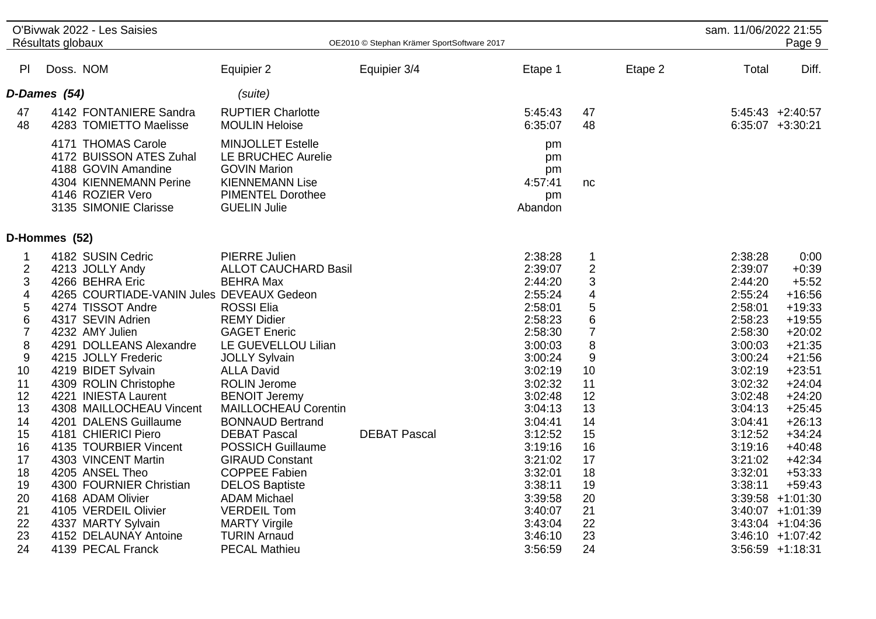|                                                                                                                                                                                      | O'Bivwak 2022 - Les Saisies<br>Résultats globaux                                                                                                                                                                                                                                                                                                                                                                                                                                          |                                                                                                                                                                                                                                                                                                                                                                                                                                                                             | OE2010 © Stephan Krämer SportSoftware 2017 |                                                                                                                                                                                                                          |                                                                                                                                                           |         | sam. 11/06/2022 21:55                                                                                                                                                                                         | Page 9                                                                                                                                                                                                                                           |
|--------------------------------------------------------------------------------------------------------------------------------------------------------------------------------------|-------------------------------------------------------------------------------------------------------------------------------------------------------------------------------------------------------------------------------------------------------------------------------------------------------------------------------------------------------------------------------------------------------------------------------------------------------------------------------------------|-----------------------------------------------------------------------------------------------------------------------------------------------------------------------------------------------------------------------------------------------------------------------------------------------------------------------------------------------------------------------------------------------------------------------------------------------------------------------------|--------------------------------------------|--------------------------------------------------------------------------------------------------------------------------------------------------------------------------------------------------------------------------|-----------------------------------------------------------------------------------------------------------------------------------------------------------|---------|---------------------------------------------------------------------------------------------------------------------------------------------------------------------------------------------------------------|--------------------------------------------------------------------------------------------------------------------------------------------------------------------------------------------------------------------------------------------------|
| PI                                                                                                                                                                                   | Doss. NOM                                                                                                                                                                                                                                                                                                                                                                                                                                                                                 | Equipier 2                                                                                                                                                                                                                                                                                                                                                                                                                                                                  | Equipier 3/4                               | Etape 1                                                                                                                                                                                                                  |                                                                                                                                                           | Etape 2 | Total                                                                                                                                                                                                         | Diff.                                                                                                                                                                                                                                            |
|                                                                                                                                                                                      | D-Dames (54)                                                                                                                                                                                                                                                                                                                                                                                                                                                                              | (suite)                                                                                                                                                                                                                                                                                                                                                                                                                                                                     |                                            |                                                                                                                                                                                                                          |                                                                                                                                                           |         |                                                                                                                                                                                                               |                                                                                                                                                                                                                                                  |
| 47<br>48                                                                                                                                                                             | 4142 FONTANIERE Sandra<br>4283 TOMIETTO Maelisse                                                                                                                                                                                                                                                                                                                                                                                                                                          | <b>RUPTIER Charlotte</b><br><b>MOULIN Heloise</b>                                                                                                                                                                                                                                                                                                                                                                                                                           |                                            | 5:45:43<br>6:35:07                                                                                                                                                                                                       | 47<br>48                                                                                                                                                  |         |                                                                                                                                                                                                               | $5:45:43$ +2:40:57<br>$6:35:07$ +3:30:21                                                                                                                                                                                                         |
|                                                                                                                                                                                      | 4171 THOMAS Carole<br>4172 BUISSON ATES Zuhal<br>4188 GOVIN Amandine<br>4304 KIENNEMANN Perine<br>4146 ROZIER Vero<br>3135 SIMONIE Clarisse                                                                                                                                                                                                                                                                                                                                               | <b>MINJOLLET Estelle</b><br>LE BRUCHEC Aurelie<br><b>GOVIN Marion</b><br><b>KIENNEMANN Lise</b><br><b>PIMENTEL Dorothee</b><br><b>GUELIN Julie</b>                                                                                                                                                                                                                                                                                                                          |                                            | pm<br>pm<br>pm<br>4:57:41<br>pm<br>Abandon                                                                                                                                                                               | nc                                                                                                                                                        |         |                                                                                                                                                                                                               |                                                                                                                                                                                                                                                  |
|                                                                                                                                                                                      | D-Hommes (52)                                                                                                                                                                                                                                                                                                                                                                                                                                                                             |                                                                                                                                                                                                                                                                                                                                                                                                                                                                             |                                            |                                                                                                                                                                                                                          |                                                                                                                                                           |         |                                                                                                                                                                                                               |                                                                                                                                                                                                                                                  |
| 1<br>$\overline{2}$<br>3<br>$\overline{\mathbf{4}}$<br>5<br>$\,6$<br>$\overline{7}$<br>$\bf 8$<br>$\boldsymbol{9}$<br>10<br>11<br>12<br>13<br>14<br>15<br>16<br>17<br>18<br>19<br>20 | 4182 SUSIN Cedric<br>4213 JOLLY Andy<br>4266 BEHRA Eric<br>4265 COURTIADE-VANIN Jules DEVEAUX Gedeon<br>4274 TISSOT Andre<br>4317 SEVIN Adrien<br>4232 AMY Julien<br>4291 DOLLEANS Alexandre<br>4215 JOLLY Frederic<br>4219 BIDET Sylvain<br>4309 ROLIN Christophe<br>4221 INIESTA Laurent<br>4308 MAILLOCHEAU Vincent<br>4201 DALENS Guillaume<br>4181 CHIERICI Piero<br>4135 TOURBIER Vincent<br>4303 VINCENT Martin<br>4205 ANSEL Theo<br>4300 FOURNIER Christian<br>4168 ADAM Olivier | <b>PIERRE Julien</b><br><b>ALLOT CAUCHARD Basil</b><br><b>BEHRA Max</b><br><b>ROSSI Elia</b><br><b>REMY Didier</b><br><b>GAGET Eneric</b><br>LE GUEVELLOU Lilian<br><b>JOLLY Sylvain</b><br><b>ALLA David</b><br><b>ROLIN Jerome</b><br><b>BENOIT Jeremy</b><br><b>MAILLOCHEAU Corentin</b><br><b>BONNAUD Bertrand</b><br><b>DEBAT Pascal</b><br><b>POSSICH Guillaume</b><br><b>GIRAUD Constant</b><br><b>COPPEE Fabien</b><br><b>DELOS Baptiste</b><br><b>ADAM Michael</b> | <b>DEBAT Pascal</b>                        | 2:38:28<br>2:39:07<br>2:44:20<br>2:55:24<br>2:58:01<br>2:58:23<br>2:58:30<br>3:00:03<br>3:00:24<br>3:02:19<br>3:02:32<br>3:02:48<br>3:04:13<br>3:04:41<br>3:12:52<br>3:19:16<br>3:21:02<br>3:32:01<br>3:38:11<br>3:39:58 | $\mathbf 1$<br>$\overline{2}$<br>3<br>4<br>$\mathbf 5$<br>6<br>$\overline{7}$<br>8<br>9<br>10<br>11<br>12<br>13<br>14<br>15<br>16<br>17<br>18<br>19<br>20 |         | 2:38:28<br>2:39:07<br>2:44:20<br>2:55:24<br>2:58:01<br>2:58:23<br>2:58:30<br>3:00:03<br>3:00:24<br>3:02:19<br>3:02:32<br>3:02:48<br>3:04:13<br>3:04:41<br>3:12:52<br>3:19:16<br>3:21:02<br>3:32:01<br>3:38:11 | 0:00<br>$+0:39$<br>$+5:52$<br>$+16:56$<br>$+19:33$<br>$+19:55$<br>$+20:02$<br>$+21:35$<br>$+21:56$<br>$+23:51$<br>$+24:04$<br>$+24:20$<br>$+25:45$<br>$+26:13$<br>$+34:24$<br>$+40:48$<br>$+42:34$<br>$+53:33$<br>$+59:43$<br>$3:39:58$ +1:01:30 |
| 21<br>22<br>23<br>24                                                                                                                                                                 | 4105 VERDEIL Olivier<br>4337 MARTY Sylvain<br>4152 DELAUNAY Antoine<br>4139 PECAL Franck                                                                                                                                                                                                                                                                                                                                                                                                  | <b>VERDEIL Tom</b><br><b>MARTY Virgile</b><br><b>TURIN Arnaud</b><br><b>PECAL Mathieu</b>                                                                                                                                                                                                                                                                                                                                                                                   |                                            | 3:40:07<br>3:43:04<br>3:46:10<br>3:56:59                                                                                                                                                                                 | 21<br>22<br>23<br>24                                                                                                                                      |         |                                                                                                                                                                                                               | $3:40:07 +1:01:39$<br>$3:43:04$ +1:04:36<br>$3:46:10 + 1:07:42$<br>$3:56:59$ +1:18:31                                                                                                                                                            |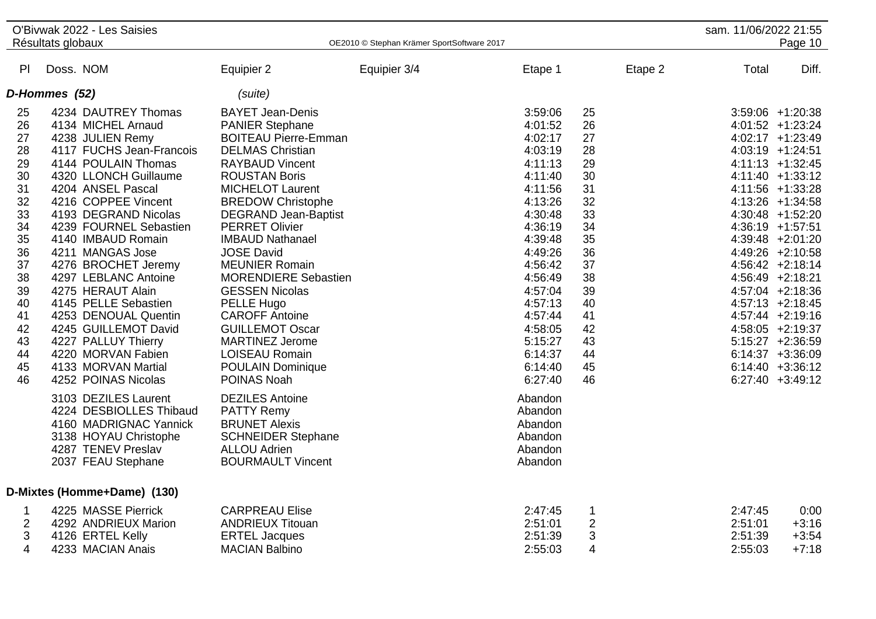|                                                                                              | O'Bivwak 2022 - Les Saisies                                                                                                                                                                                                                                                                                                                                                   |                                                                                                                                                                                                                                                                                                                                                                                                                             |                                            |                                                                                                                                                                              |                                                                                              | sam. 11/06/2022 21:55         |                                                                                                                                                                                                                                                                                                                                               |
|----------------------------------------------------------------------------------------------|-------------------------------------------------------------------------------------------------------------------------------------------------------------------------------------------------------------------------------------------------------------------------------------------------------------------------------------------------------------------------------|-----------------------------------------------------------------------------------------------------------------------------------------------------------------------------------------------------------------------------------------------------------------------------------------------------------------------------------------------------------------------------------------------------------------------------|--------------------------------------------|------------------------------------------------------------------------------------------------------------------------------------------------------------------------------|----------------------------------------------------------------------------------------------|-------------------------------|-----------------------------------------------------------------------------------------------------------------------------------------------------------------------------------------------------------------------------------------------------------------------------------------------------------------------------------------------|
|                                                                                              | Résultats globaux                                                                                                                                                                                                                                                                                                                                                             |                                                                                                                                                                                                                                                                                                                                                                                                                             | OE2010 © Stephan Krämer SportSoftware 2017 |                                                                                                                                                                              |                                                                                              |                               | Page 10                                                                                                                                                                                                                                                                                                                                       |
| PI                                                                                           | Doss. NOM                                                                                                                                                                                                                                                                                                                                                                     | Equipier 2                                                                                                                                                                                                                                                                                                                                                                                                                  | Equipier 3/4                               | Etape 1                                                                                                                                                                      | Etape 2                                                                                      | Total                         | Diff.                                                                                                                                                                                                                                                                                                                                         |
|                                                                                              | D-Hommes (52)                                                                                                                                                                                                                                                                                                                                                                 | (suite)                                                                                                                                                                                                                                                                                                                                                                                                                     |                                            |                                                                                                                                                                              |                                                                                              |                               |                                                                                                                                                                                                                                                                                                                                               |
| 25<br>26<br>27<br>28<br>29<br>30<br>31<br>32<br>33<br>34<br>35<br>36<br>37<br>38<br>39<br>40 | 4234 DAUTREY Thomas<br>4134 MICHEL Arnaud<br>4238 JULIEN Remy<br>4117 FUCHS Jean-Francois<br>4144 POULAIN Thomas<br>4320 LLONCH Guillaume<br>4204 ANSEL Pascal<br>4216 COPPEE Vincent<br>4193 DEGRAND Nicolas<br>4239 FOURNEL Sebastien<br>4140 IMBAUD Romain<br>4211 MANGAS Jose<br>4276 BROCHET Jeremy<br>4297 LEBLANC Antoine<br>4275 HERAUT Alain<br>4145 PELLE Sebastien | <b>BAYET Jean-Denis</b><br><b>PANIER Stephane</b><br><b>BOITEAU Pierre-Emman</b><br><b>DELMAS Christian</b><br><b>RAYBAUD Vincent</b><br><b>ROUSTAN Boris</b><br><b>MICHELOT Laurent</b><br><b>BREDOW Christophe</b><br><b>DEGRAND Jean-Baptist</b><br><b>PERRET Olivier</b><br><b>IMBAUD Nathanael</b><br><b>JOSE David</b><br><b>MEUNIER Romain</b><br><b>MORENDIERE Sebastien</b><br><b>GESSEN Nicolas</b><br>PELLE Hugo |                                            | 3:59:06<br>4:01:52<br>4:02:17<br>4:03:19<br>4:11:13<br>4:11:40<br>4:11:56<br>4:13:26<br>4:30:48<br>4:36:19<br>4:39:48<br>4:49:26<br>4:56:42<br>4:56:49<br>4:57:04<br>4:57:13 | 25<br>26<br>27<br>28<br>29<br>30<br>31<br>32<br>33<br>34<br>35<br>36<br>37<br>38<br>39<br>40 |                               | $3:59:06$ +1:20:38<br>$4:01:52$ +1:23:24<br>4:02:17 +1:23:49<br>$4:03:19$ +1:24:51<br>$4:11:13 + 1:32:45$<br>4:11:40 +1:33:12<br>4:11:56 +1:33:28<br>$4:13:26$ +1:34:58<br>4:30:48 +1:52:20<br>4:36:19 +1:57:51<br>4:39:48 +2:01:20<br>$4:49:26$ +2:10:58<br>4:56:42 +2:18:14<br>4:56:49 +2:18:21<br>$4:57:04$ +2:18:36<br>$4:57:13 +2:18:45$ |
| 41<br>42<br>43<br>44<br>45<br>46                                                             | 4253 DENOUAL Quentin<br>4245 GUILLEMOT David<br>4227 PALLUY Thierry<br>4220 MORVAN Fabien<br>4133 MORVAN Martial<br>4252 POINAS Nicolas<br>3103 DEZILES Laurent<br>4224 DESBIOLLES Thibaud                                                                                                                                                                                    | <b>CAROFF Antoine</b><br><b>GUILLEMOT Oscar</b><br><b>MARTINEZ Jerome</b><br><b>LOISEAU Romain</b><br><b>POULAIN Dominique</b><br>POINAS Noah<br><b>DEZILES</b> Antoine<br><b>PATTY Remy</b>                                                                                                                                                                                                                                |                                            | 4:57:44<br>4:58:05<br>5:15:27<br>6:14:37<br>6:14:40<br>6:27:40<br>Abandon<br>Abandon                                                                                         | 41<br>42<br>43<br>44<br>45<br>46                                                             |                               | 4:57:44 +2:19:16<br>4:58:05 +2:19:37<br>$5:15:27 +2:36:59$<br>$6:14:37 +3:36:09$<br>$6:14:40 +3:36:12$<br>$6:27:40 +3:49:12$                                                                                                                                                                                                                  |
| 1                                                                                            | 4160 MADRIGNAC Yannick<br>3138 HOYAU Christophe<br>4287 TENEV Preslav<br>2037 FEAU Stephane<br>D-Mixtes (Homme+Dame) (130)<br>4225 MASSE Pierrick                                                                                                                                                                                                                             | <b>BRUNET Alexis</b><br><b>SCHNEIDER Stephane</b><br><b>ALLOU Adrien</b><br><b>BOURMAULT Vincent</b><br><b>CARPREAU Elise</b>                                                                                                                                                                                                                                                                                               |                                            | Abandon<br>Abandon<br>Abandon<br>Abandon<br>2:47:45                                                                                                                          | 1                                                                                            | 2:47:45                       | 0:00                                                                                                                                                                                                                                                                                                                                          |
| 2<br>3<br>4                                                                                  | 4292 ANDRIEUX Marion<br>4126 ERTEL Kelly<br>4233 MACIAN Anais                                                                                                                                                                                                                                                                                                                 | <b>ANDRIEUX Titouan</b><br><b>ERTEL Jacques</b><br><b>MACIAN Balbino</b>                                                                                                                                                                                                                                                                                                                                                    |                                            | 2:51:01<br>2:51:39<br>2:55:03                                                                                                                                                | $\overline{2}$<br>3<br>4                                                                     | 2:51:01<br>2:51:39<br>2:55:03 | $+3:16$<br>$+3:54$<br>$+7:18$                                                                                                                                                                                                                                                                                                                 |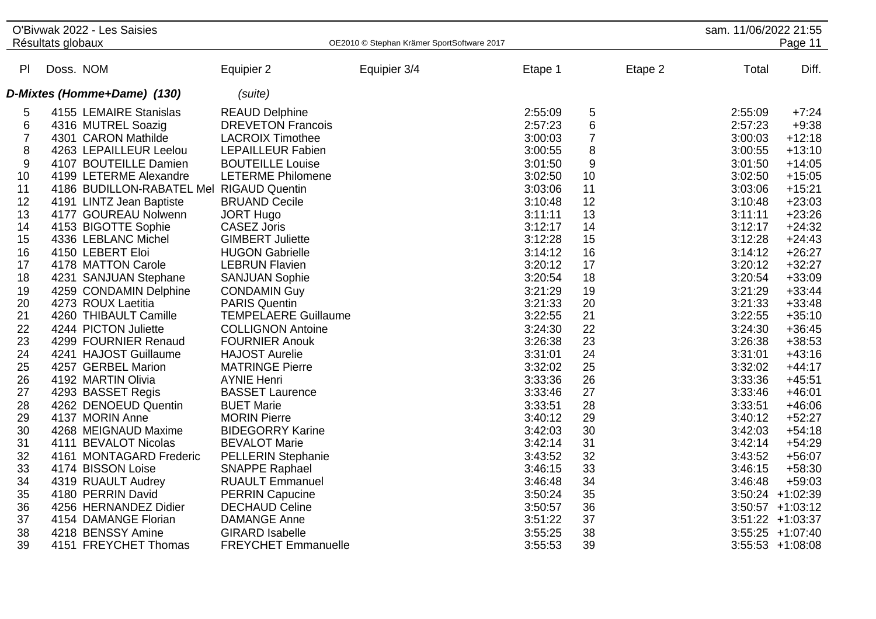|                |                   | O'Bivwak 2022 - Les Saisies              |                             |                                            |         |                |         | sam. 11/06/2022 21:55 |                     |
|----------------|-------------------|------------------------------------------|-----------------------------|--------------------------------------------|---------|----------------|---------|-----------------------|---------------------|
|                | Résultats globaux |                                          |                             | OE2010 © Stephan Krämer SportSoftware 2017 |         |                |         |                       | Page 11             |
|                |                   |                                          |                             |                                            |         |                |         |                       |                     |
| PI             | Doss. NOM         |                                          | Equipier 2                  | Equipier 3/4                               | Etape 1 |                | Etape 2 | Total                 | Diff.               |
|                |                   | D-Mixtes (Homme+Dame) (130)              | (suite)                     |                                            |         |                |         |                       |                     |
| 5              |                   | 4155 LEMAIRE Stanislas                   | <b>REAUD Delphine</b>       |                                            | 2:55:09 | 5              |         | 2:55:09               | $+7:24$             |
| 6              |                   | 4316 MUTREL Soazig                       | <b>DREVETON Francois</b>    |                                            | 2:57:23 | 6              |         | 2:57:23               | $+9:38$             |
| $\overline{7}$ |                   | 4301 CARON Mathilde                      | <b>LACROIX Timothee</b>     |                                            | 3:00:03 | $\overline{7}$ |         | 3:00:03               | $+12:18$            |
| 8              |                   | 4263 LEPAILLEUR Leelou                   | <b>LEPAILLEUR Fabien</b>    |                                            | 3:00:55 | 8              |         | 3:00:55               | $+13:10$            |
| 9              |                   | 4107 BOUTEILLE Damien                    | <b>BOUTEILLE Louise</b>     |                                            | 3:01:50 | 9              |         | 3:01:50               | $+14:05$            |
| 10             |                   | 4199 LETERME Alexandre                   | <b>LETERME Philomene</b>    |                                            | 3:02:50 | 10             |         | 3:02:50               | $+15:05$            |
| 11             |                   | 4186 BUDILLON-RABATEL Mel RIGAUD Quentin |                             |                                            | 3:03:06 | 11             |         | 3:03:06               | $+15:21$            |
| 12             |                   | 4191 LINTZ Jean Baptiste                 | <b>BRUAND Cecile</b>        |                                            | 3:10:48 | 12             |         | 3:10:48               | $+23:03$            |
| 13             |                   | 4177 GOUREAU Nolwenn                     | <b>JORT Hugo</b>            |                                            | 3:11:11 | 13             |         | 3:11:11               | $+23:26$            |
| 14             |                   | 4153 BIGOTTE Sophie                      | <b>CASEZ Joris</b>          |                                            | 3:12:17 | 14             |         | 3:12:17               | $+24:32$            |
| 15             |                   | 4336 LEBLANC Michel                      | <b>GIMBERT Juliette</b>     |                                            | 3:12:28 | 15             |         | 3:12:28               | $+24:43$            |
| 16             |                   | 4150 LEBERT Eloi                         | <b>HUGON Gabrielle</b>      |                                            | 3:14:12 | 16             |         | 3:14:12               | $+26:27$            |
| 17             |                   | 4178 MATTON Carole                       | <b>LEBRUN Flavien</b>       |                                            | 3:20:12 | 17             |         | 3:20:12               | $+32:27$            |
| 18             |                   | 4231 SANJUAN Stephane                    | <b>SANJUAN Sophie</b>       |                                            | 3:20:54 | 18             |         | 3:20:54               | $+33:09$            |
| 19             |                   | 4259 CONDAMIN Delphine                   | <b>CONDAMIN Guy</b>         |                                            | 3:21:29 | 19             |         | 3:21:29               | $+33:44$            |
| 20             |                   | 4273 ROUX Laetitia                       | <b>PARIS Quentin</b>        |                                            | 3:21:33 | 20             |         | 3:21:33               | $+33:48$            |
| 21             |                   | 4260 THIBAULT Camille                    | <b>TEMPELAERE Guillaume</b> |                                            | 3:22:55 | 21             |         | 3:22:55               | $+35:10$            |
| 22             |                   | 4244 PICTON Juliette                     | <b>COLLIGNON Antoine</b>    |                                            | 3:24:30 | 22             |         | 3:24:30               | $+36:45$            |
| 23             |                   | 4299 FOURNIER Renaud                     | <b>FOURNIER Anouk</b>       |                                            | 3:26:38 | 23             |         | 3:26:38               | $+38:53$            |
| 24             |                   | 4241 HAJOST Guillaume                    | <b>HAJOST Aurelie</b>       |                                            | 3:31:01 | 24             |         | 3:31:01               | $+43:16$            |
| 25             |                   | 4257 GERBEL Marion                       | <b>MATRINGE Pierre</b>      |                                            | 3:32:02 | 25             |         | 3:32:02               | $+44:17$            |
| 26             |                   | 4192 MARTIN Olivia                       | <b>AYNIE Henri</b>          |                                            | 3:33:36 | 26             |         | 3:33:36               | $+45:51$            |
| 27             |                   | 4293 BASSET Regis                        | <b>BASSET Laurence</b>      |                                            | 3:33:46 | 27             |         | 3:33:46               | $+46:01$            |
| 28             |                   | 4262 DENOEUD Quentin                     | <b>BUET Marie</b>           |                                            | 3:33:51 | 28             |         | 3:33:51               | $+46:06$            |
| 29             |                   | 4137 MORIN Anne                          | <b>MORIN Pierre</b>         |                                            | 3:40:12 | 29             |         | 3:40:12               | $+52:27$            |
| 30             |                   | 4268 MEIGNAUD Maxime                     | <b>BIDEGORRY Karine</b>     |                                            | 3:42:03 | 30             |         | 3:42:03               | $+54:18$            |
| 31             |                   | 4111 BEVALOT Nicolas                     | <b>BEVALOT Marie</b>        |                                            | 3:42:14 | 31             |         | 3:42:14               | $+54:29$            |
| 32             |                   | 4161 MONTAGARD Frederic                  | <b>PELLERIN Stephanie</b>   |                                            | 3:43:52 | 32             |         | 3:43:52               | $+56:07$            |
| 33             |                   | 4174 BISSON Loise                        | <b>SNAPPE Raphael</b>       |                                            | 3:46:15 | 33             |         | 3:46:15               | $+58:30$            |
| 34             |                   | 4319 RUAULT Audrey                       | <b>RUAULT Emmanuel</b>      |                                            | 3:46:48 | 34             |         | 3:46:48               | $+59:03$            |
| 35             |                   | 4180 PERRIN David                        | <b>PERRIN Capucine</b>      |                                            | 3:50:24 | 35             |         |                       | $3:50:24$ +1:02:39  |
| 36             |                   | 4256 HERNANDEZ Didier                    | <b>DECHAUD Celine</b>       |                                            | 3:50:57 | 36             |         |                       | $3:50:57 +1:03:12$  |
| 37             |                   | 4154 DAMANGE Florian                     | <b>DAMANGE Anne</b>         |                                            | 3:51:22 | 37             |         |                       | $3:51:22 + 1:03:37$ |
| 38             |                   | 4218 BENSSY Amine                        | <b>GIRARD Isabelle</b>      |                                            | 3:55:25 | 38             |         |                       | $3:55:25 + 1:07:40$ |
| 39             |                   | 4151 FREYCHET Thomas                     | <b>FREYCHET Emmanuelle</b>  |                                            | 3:55:53 | 39             |         |                       | $3:55:53 +1:08:08$  |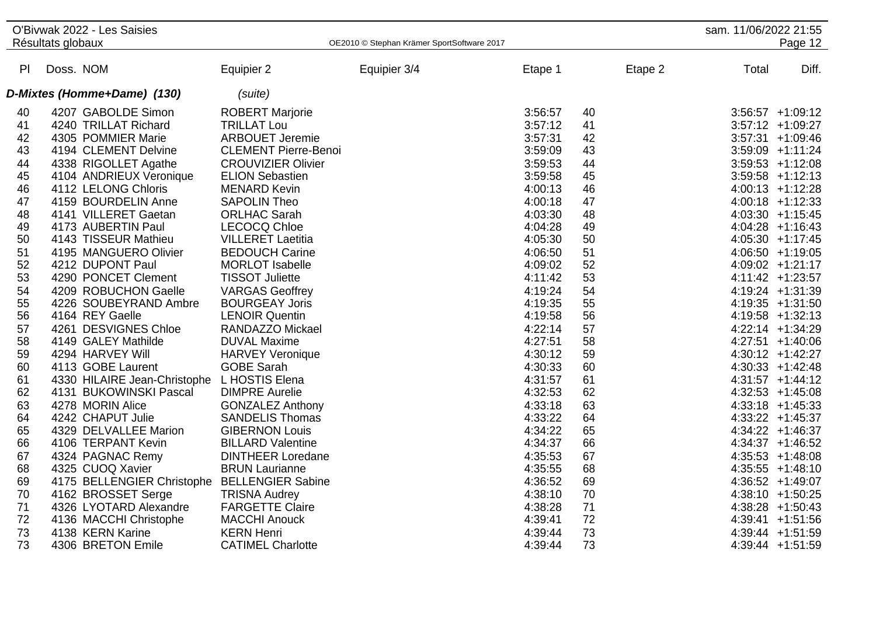|    | Résultats globaux | O'Bivwak 2022 - Les Saisies                  |                             | OE2010 © Stephan Krämer SportSoftware 2017 |         |         | sam. 11/06/2022 21:55 | Page 12             |
|----|-------------------|----------------------------------------------|-----------------------------|--------------------------------------------|---------|---------|-----------------------|---------------------|
|    |                   |                                              |                             |                                            |         |         |                       |                     |
| PI | Doss. NOM         |                                              | Equipier 2                  | Equipier 3/4                               | Etape 1 | Etape 2 | Total                 | Diff.               |
|    |                   | D-Mixtes (Homme+Dame) (130)                  | (suite)                     |                                            |         |         |                       |                     |
| 40 |                   | 4207 GABOLDE Simon                           | <b>ROBERT Marjorie</b>      |                                            | 3:56:57 | 40      |                       | $3:56:57 +1:09:12$  |
| 41 |                   | 4240 TRILLAT Richard                         | <b>TRILLAT Lou</b>          |                                            | 3:57:12 | 41      |                       | $3:57:12 +1:09:27$  |
| 42 |                   | 4305 POMMIER Marie                           | <b>ARBOUET Jeremie</b>      |                                            | 3:57:31 | 42      |                       | $3:57:31 + 1:09:46$ |
| 43 |                   | 4194 CLEMENT Delvine                         | <b>CLEMENT Pierre-Benoi</b> |                                            | 3:59:09 | 43      |                       | $3:59:09$ +1:11:24  |
| 44 |                   | 4338 RIGOLLET Agathe                         | <b>CROUVIZIER Olivier</b>   |                                            | 3:59:53 | 44      |                       | $3:59:53 +1:12:08$  |
| 45 |                   | 4104 ANDRIEUX Veronique                      | <b>ELION Sebastien</b>      |                                            | 3:59:58 | 45      |                       | $3:59:58$ +1:12:13  |
| 46 |                   | 4112 LELONG Chloris                          | <b>MENARD Kevin</b>         |                                            | 4:00:13 | 46      |                       | $4:00:13 +1:12:28$  |
| 47 |                   | 4159 BOURDELIN Anne                          | <b>SAPOLIN Theo</b>         |                                            | 4:00:18 | 47      |                       | $4:00:18$ +1:12:33  |
| 48 |                   | 4141 VILLERET Gaetan                         | <b>ORLHAC Sarah</b>         |                                            | 4:03:30 | 48      |                       | $4:03:30 +1:15:45$  |
| 49 |                   | 4173 AUBERTIN Paul                           | <b>LECOCQ Chloe</b>         |                                            | 4:04:28 | 49      |                       | $4:04:28$ +1:16:43  |
| 50 |                   | 4143 TISSEUR Mathieu                         | <b>VILLERET Laetitia</b>    |                                            | 4:05:30 | 50      |                       | 4:05:30 +1:17:45    |
| 51 |                   | 4195 MANGUERO Olivier                        | <b>BEDOUCH Carine</b>       |                                            | 4:06:50 | 51      |                       | $4:06:50 +1:19:05$  |
| 52 |                   | 4212 DUPONT Paul                             | <b>MORLOT</b> Isabelle      |                                            | 4:09:02 | 52      |                       | 4:09:02 +1:21:17    |
| 53 |                   | 4290 PONCET Clement                          | <b>TISSOT Juliette</b>      |                                            | 4:11:42 | 53      |                       | 4:11:42 +1:23:57    |
| 54 |                   | 4209 ROBUCHON Gaelle                         | <b>VARGAS Geoffrey</b>      |                                            | 4:19:24 | 54      |                       | 4:19:24 +1:31:39    |
| 55 |                   | 4226 SOUBEYRAND Ambre                        | <b>BOURGEAY Joris</b>       |                                            | 4:19:35 | 55      |                       | $4:19:35 +1:31:50$  |
| 56 |                   | 4164 REY Gaelle                              | <b>LENOIR Quentin</b>       |                                            | 4:19:58 | 56      |                       | 4:19:58 +1:32:13    |
| 57 |                   | 4261 DESVIGNES Chloe                         | <b>RANDAZZO Mickael</b>     |                                            | 4:22:14 | 57      |                       | 4:22:14 +1:34:29    |
| 58 |                   | 4149 GALEY Mathilde                          | <b>DUVAL Maxime</b>         |                                            | 4:27:51 | 58      |                       | $4:27:51$ +1:40:06  |
| 59 |                   | 4294 HARVEY Will                             | <b>HARVEY Veronique</b>     |                                            | 4:30:12 | 59      |                       | $4:30:12 +1:42:27$  |
| 60 |                   | 4113 GOBE Laurent                            | <b>GOBE Sarah</b>           |                                            | 4:30:33 | 60      |                       | $4:30:33 +1:42:48$  |
| 61 |                   | 4330 HILAIRE Jean-Christophe L HOSTIS Elena  |                             |                                            | 4:31:57 | 61      |                       | $4:31:57$ +1:44:12  |
| 62 |                   | 4131 BUKOWINSKI Pascal                       | <b>DIMPRE Aurelie</b>       |                                            | 4:32:53 | 62      |                       | $4:32:53$ +1:45:08  |
| 63 |                   | 4278 MORIN Alice                             | <b>GONZALEZ Anthony</b>     |                                            | 4:33:18 | 63      |                       | $4:33:18$ +1:45:33  |
| 64 |                   | 4242 CHAPUT Julie                            | <b>SANDELIS Thomas</b>      |                                            | 4:33:22 | 64      |                       | $4:33:22 +1:45:37$  |
| 65 |                   | 4329 DELVALLEE Marion                        | <b>GIBERNON Louis</b>       |                                            | 4:34:22 | 65      |                       | $4:34:22 +1:46:37$  |
| 66 |                   | 4106 TERPANT Kevin                           | <b>BILLARD Valentine</b>    |                                            | 4:34:37 | 66      |                       | $4:34:37$ +1:46:52  |
| 67 |                   | 4324 PAGNAC Remy                             | <b>DINTHEER Loredane</b>    |                                            | 4:35:53 | 67      |                       | $4:35:53 +1:48:08$  |
| 68 |                   | 4325 CUOQ Xavier                             | <b>BRUN Laurianne</b>       |                                            | 4:35:55 | 68      |                       | $4:35:55$ +1:48:10  |
| 69 |                   | 4175 BELLENGIER Christophe BELLENGIER Sabine |                             |                                            | 4:36:52 | 69      |                       | 4:36:52 +1:49:07    |
| 70 |                   | 4162 BROSSET Serge                           | <b>TRISNA Audrey</b>        |                                            | 4:38:10 | 70      |                       | 4:38:10 +1:50:25    |
| 71 |                   | 4326 LYOTARD Alexandre                       | <b>FARGETTE Claire</b>      |                                            | 4:38:28 | 71      |                       | $4:38:28$ +1:50:43  |
| 72 |                   | 4136 MACCHI Christophe                       | <b>MACCHI Anouck</b>        |                                            | 4:39:41 | 72      |                       | $4:39:41 +1:51:56$  |
| 73 |                   | 4138 KERN Karine                             | <b>KERN Henri</b>           |                                            | 4:39:44 | 73      |                       | 4:39:44 +1:51:59    |
| 73 |                   | 4306 BRETON Emile                            | <b>CATIMEL Charlotte</b>    |                                            | 4:39:44 | 73      |                       | 4:39:44 +1:51:59    |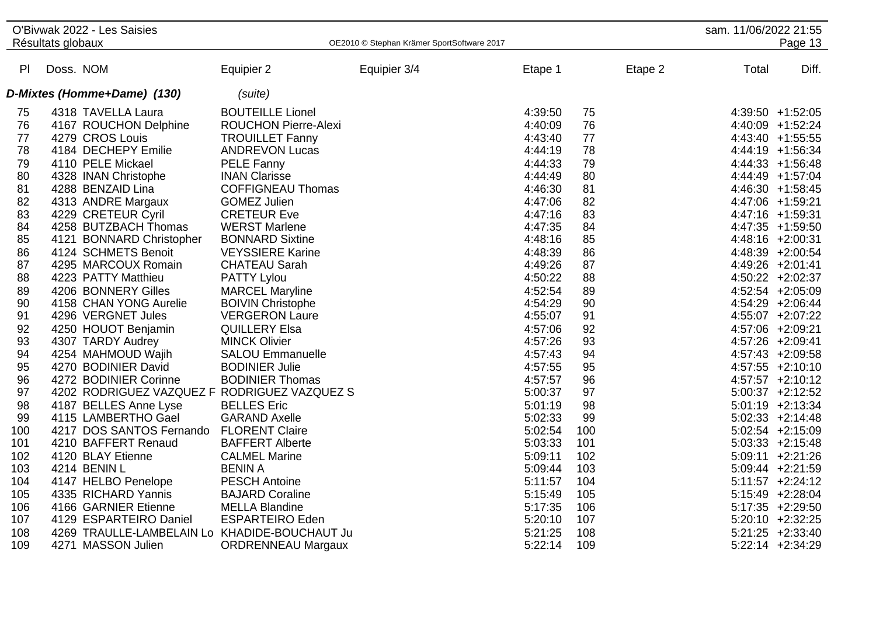|                |                   | O'Bivwak 2022 - Les Saisies                   |                             |                                            |         |     |         | sam. 11/06/2022 21:55 |                     |
|----------------|-------------------|-----------------------------------------------|-----------------------------|--------------------------------------------|---------|-----|---------|-----------------------|---------------------|
|                | Résultats globaux |                                               |                             | OE2010 © Stephan Krämer SportSoftware 2017 |         |     |         |                       | Page 13             |
|                |                   |                                               |                             |                                            |         |     |         |                       |                     |
| P <sub>1</sub> | Doss. NOM         |                                               | Equipier 2                  | Equipier 3/4                               | Etape 1 |     | Etape 2 | Total                 | Diff.               |
|                |                   | D-Mixtes (Homme+Dame) (130)                   | (suite)                     |                                            |         |     |         |                       |                     |
| 75             |                   | 4318 TAVELLA Laura                            | <b>BOUTEILLE Lionel</b>     |                                            | 4:39:50 | 75  |         |                       | 4:39:50 +1:52:05    |
| 76             |                   | 4167 ROUCHON Delphine                         | <b>ROUCHON Pierre-Alexi</b> |                                            | 4:40:09 | 76  |         |                       | 4:40:09 +1:52:24    |
| 77             |                   | 4279 CROS Louis                               | <b>TROUILLET Fanny</b>      |                                            | 4:43:40 | 77  |         |                       | 4:43:40 +1:55:55    |
| 78             |                   | 4184 DECHEPY Emilie                           | <b>ANDREVON Lucas</b>       |                                            | 4:44:19 | 78  |         |                       | 4:44:19 +1:56:34    |
| 79             |                   | 4110 PELE Mickael                             | <b>PELE Fanny</b>           |                                            | 4:44:33 | 79  |         |                       | $4:44:33 +1:56:48$  |
| 80             |                   | 4328 INAN Christophe                          | <b>INAN Clarisse</b>        |                                            | 4:44:49 | 80  |         |                       | 4:44:49 +1:57:04    |
| 81             |                   | 4288 BENZAID Lina                             | <b>COFFIGNEAU Thomas</b>    |                                            | 4:46:30 | 81  |         |                       | $4:46:30 +1:58:45$  |
| 82             |                   | 4313 ANDRE Margaux                            | <b>GOMEZ Julien</b>         |                                            | 4:47:06 | 82  |         |                       | 4:47:06 +1:59:21    |
| 83             |                   | 4229 CRETEUR Cyril                            | <b>CRETEUR Eve</b>          |                                            | 4:47:16 | 83  |         |                       | $4:47:16$ +1:59:31  |
| 84             |                   | 4258 BUTZBACH Thomas                          | <b>WERST Marlene</b>        |                                            | 4:47:35 | 84  |         |                       | 4:47:35 +1:59:50    |
| 85             |                   | 4121 BONNARD Christopher                      | <b>BONNARD Sixtine</b>      |                                            | 4:48:16 | 85  |         |                       | 4:48:16 +2:00:31    |
| 86             |                   | 4124 SCHMETS Benoit                           | <b>VEYSSIERE Karine</b>     |                                            | 4:48:39 | 86  |         |                       | 4:48:39 +2:00:54    |
| 87             |                   | 4295 MARCOUX Romain                           | <b>CHATEAU Sarah</b>        |                                            | 4:49:26 | 87  |         |                       | 4:49:26 +2:01:41    |
| 88             |                   | 4223 PATTY Matthieu                           | <b>PATTY Lylou</b>          |                                            | 4:50:22 | 88  |         |                       | 4:50:22 +2:02:37    |
| 89             |                   | 4206 BONNERY Gilles                           | <b>MARCEL Maryline</b>      |                                            | 4:52:54 | 89  |         |                       | $4:52:54$ +2:05:09  |
| 90             |                   | 4158 CHAN YONG Aurelie                        | <b>BOIVIN Christophe</b>    |                                            | 4:54:29 | 90  |         |                       | 4:54:29 +2:06:44    |
| 91             |                   | 4296 VERGNET Jules                            | <b>VERGERON Laure</b>       |                                            | 4:55:07 | 91  |         |                       | 4:55:07 +2:07:22    |
| 92             |                   | 4250 HOUOT Benjamin                           | <b>QUILLERY Elsa</b>        |                                            | 4:57:06 | 92  |         |                       | 4:57:06 +2:09:21    |
| 93             |                   | 4307 TARDY Audrey                             | <b>MINCK Olivier</b>        |                                            | 4:57:26 | 93  |         |                       | 4:57:26 +2:09:41    |
| 94             |                   | 4254 MAHMOUD Wajih                            | <b>SALOU Emmanuelle</b>     |                                            | 4:57:43 | 94  |         |                       | 4:57:43 +2:09:58    |
| 95             |                   | 4270 BODINIER David                           | <b>BODINIER Julie</b>       |                                            | 4:57:55 | 95  |         |                       | $4:57:55$ +2:10:10  |
| 96             |                   | 4272 BODINIER Corinne                         | <b>BODINIER Thomas</b>      |                                            | 4:57:57 | 96  |         |                       | $4:57:57$ +2:10:12  |
| 97             |                   | 4202 RODRIGUEZ VAZQUEZ F RODRIGUEZ VAZQUEZ S  |                             |                                            | 5:00:37 | 97  |         |                       | $5:00:37 +2:12:52$  |
| 98             |                   | 4187 BELLES Anne Lyse                         | <b>BELLES</b> Eric          |                                            | 5:01:19 | 98  |         |                       | $5:01:19$ +2:13:34  |
| 99             |                   | 4115 LAMBERTHO Gael                           | <b>GARAND Axelle</b>        |                                            | 5:02:33 | 99  |         |                       | $5:02:33 +2:14:48$  |
| 100            |                   | 4217 DOS SANTOS Fernando FLORENT Claire       |                             |                                            | 5:02:54 | 100 |         |                       | $5:02:54$ +2:15:09  |
| 101            |                   | 4210 BAFFERT Renaud                           | <b>BAFFERT Alberte</b>      |                                            | 5:03:33 | 101 |         |                       | $5:03:33 +2:15:48$  |
| 102            |                   | 4120 BLAY Etienne                             | <b>CALMEL Marine</b>        |                                            | 5:09:11 | 102 |         |                       | $5:09:11 + 2:21:26$ |
| 103            |                   | 4214 BENIN L                                  | <b>BENIN A</b>              |                                            | 5:09:44 | 103 |         |                       | $5:09:44$ +2:21:59  |
| 104            |                   | 4147 HELBO Penelope                           | <b>PESCH Antoine</b>        |                                            | 5:11:57 | 104 |         |                       | $5:11:57$ +2:24:12  |
| 105            |                   | 4335 RICHARD Yannis                           | <b>BAJARD Coraline</b>      |                                            | 5:15:49 | 105 |         |                       | 5:15:49 +2:28:04    |
| 106            |                   | 4166 GARNIER Etienne                          | <b>MELLA Blandine</b>       |                                            | 5:17:35 | 106 |         |                       | $5:17:35 +2:29:50$  |
| 107            |                   | 4129 ESPARTEIRO Daniel                        | <b>ESPARTEIRO Eden</b>      |                                            | 5:20:10 | 107 |         |                       | 5:20:10 +2:32:25    |
| 108            |                   | 4269 TRAULLE-LAMBELAIN Lo KHADIDE-BOUCHAUT Ju |                             |                                            | 5:21:25 | 108 |         |                       | $5:21:25 +2:33:40$  |
| 109            |                   | 4271 MASSON Julien                            | <b>ORDRENNEAU Margaux</b>   |                                            | 5:22:14 | 109 |         |                       | 5:22:14 +2:34:29    |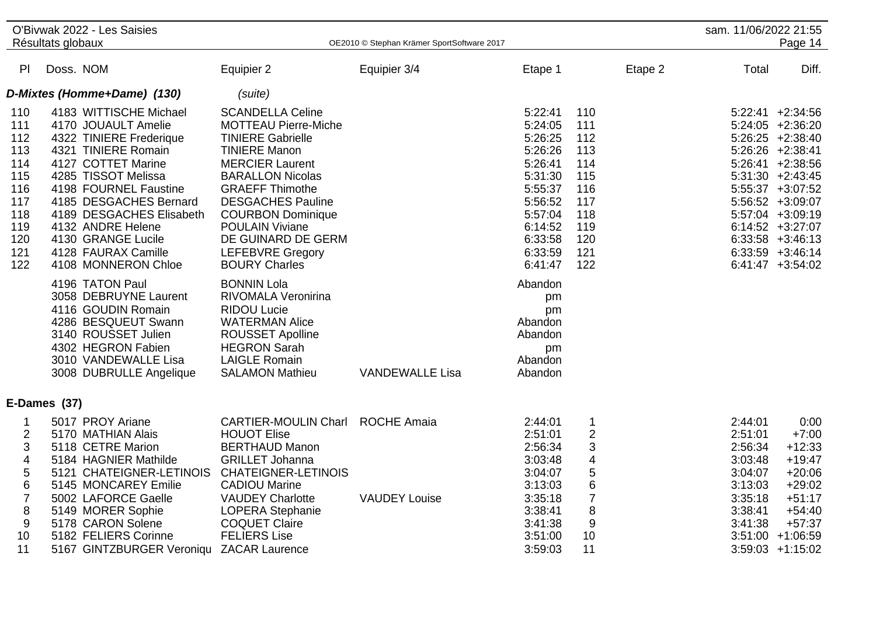|                                                                                                                   | O'Bivwak 2022 - Les Saisies<br>Résultats globaux                                                                                                                                                                                                                                                                                                                                                                                                                                                              |                                                                                                                                                                                                                                                                                                                                                                                                                                                                                                                                                      | OE2010 © Stephan Krämer SportSoftware 2017 |                                                                                                                                                                                                                      |                                                                                                                                 | sam. 11/06/2022 21:55                                                                           | Page 14                                                                                                                                                                                                                                                                                 |
|-------------------------------------------------------------------------------------------------------------------|---------------------------------------------------------------------------------------------------------------------------------------------------------------------------------------------------------------------------------------------------------------------------------------------------------------------------------------------------------------------------------------------------------------------------------------------------------------------------------------------------------------|------------------------------------------------------------------------------------------------------------------------------------------------------------------------------------------------------------------------------------------------------------------------------------------------------------------------------------------------------------------------------------------------------------------------------------------------------------------------------------------------------------------------------------------------------|--------------------------------------------|----------------------------------------------------------------------------------------------------------------------------------------------------------------------------------------------------------------------|---------------------------------------------------------------------------------------------------------------------------------|-------------------------------------------------------------------------------------------------|-----------------------------------------------------------------------------------------------------------------------------------------------------------------------------------------------------------------------------------------------------------------------------------------|
| PI                                                                                                                | Doss. NOM                                                                                                                                                                                                                                                                                                                                                                                                                                                                                                     | Equipier 2                                                                                                                                                                                                                                                                                                                                                                                                                                                                                                                                           | Equipier 3/4                               | Etape 1                                                                                                                                                                                                              | Etape 2                                                                                                                         | Total                                                                                           | Diff.                                                                                                                                                                                                                                                                                   |
|                                                                                                                   | D-Mixtes (Homme+Dame) (130)                                                                                                                                                                                                                                                                                                                                                                                                                                                                                   | (suite)                                                                                                                                                                                                                                                                                                                                                                                                                                                                                                                                              |                                            |                                                                                                                                                                                                                      |                                                                                                                                 |                                                                                                 |                                                                                                                                                                                                                                                                                         |
| 110<br>111<br>112<br>113<br>114<br>115<br>116<br>117<br>118<br>119<br>120<br>121<br>122                           | 4183 WITTISCHE Michael<br>4170 JOUAULT Amelie<br>4322 TINIERE Frederique<br>4321 TINIERE Romain<br>4127 COTTET Marine<br>4285 TISSOT Melissa<br>4198 FOURNEL Faustine<br>4185 DESGACHES Bernard<br>4189 DESGACHES Elisabeth<br>4132 ANDRE Helene<br>4130 GRANGE Lucile<br>4128 FAURAX Camille<br>4108 MONNERON Chloe<br>4196 TATON Paul<br>3058 DEBRUYNE Laurent<br>4116 GOUDIN Romain<br>4286 BESQUEUT Swann<br>3140 ROUSSET Julien<br>4302 HEGRON Fabien<br>3010 VANDEWALLE Lisa<br>3008 DUBRULLE Angelique | <b>SCANDELLA Celine</b><br><b>MOTTEAU Pierre-Miche</b><br><b>TINIERE Gabrielle</b><br><b>TINIERE Manon</b><br><b>MERCIER Laurent</b><br><b>BARALLON Nicolas</b><br><b>GRAEFF Thimothe</b><br><b>DESGACHES Pauline</b><br><b>COURBON Dominique</b><br><b>POULAIN Viviane</b><br>DE GUINARD DE GERM<br><b>LEFEBVRE Gregory</b><br><b>BOURY Charles</b><br><b>BONNIN Lola</b><br><b>RIVOMALA Veronirina</b><br><b>RIDOU Lucie</b><br><b>WATERMAN Alice</b><br>ROUSSET Apolline<br><b>HEGRON Sarah</b><br><b>LAIGLE Romain</b><br><b>SALAMON Mathieu</b> | <b>VANDEWALLE Lisa</b>                     | 5:22:41<br>5:24:05<br>5:26:25<br>5:26:26<br>5:26:41<br>5:31:30<br>5:55:37<br>5:56:52<br>5:57:04<br>6:14:52<br>6:33:58<br>6:33:59<br>6:41:47<br>Abandon<br>pm<br>pm<br>Abandon<br>Abandon<br>pm<br>Abandon<br>Abandon | 110<br>111<br>112<br>113<br>114<br>115<br>116<br>117<br>118<br>119<br>120<br>121<br>122                                         |                                                                                                 | $5:22:41 +2:34:56$<br>$5:24:05$ +2:36:20<br>$5:26:25 +2:38:40$<br>$5:26:26$ +2:38:41<br>$5:26:41 +2:38:56$<br>$5:31:30 +2:43:45$<br>$5:55:37 +3:07:52$<br>5:56:52 +3:09:07<br>5:57:04 +3:09:19<br>$6:14:52 + 3:27:07$<br>$6:33:58$ +3:46:13<br>$6:33:59$ +3:46:14<br>$6:41:47$ +3:54:02 |
|                                                                                                                   | E-Dames (37)                                                                                                                                                                                                                                                                                                                                                                                                                                                                                                  |                                                                                                                                                                                                                                                                                                                                                                                                                                                                                                                                                      |                                            |                                                                                                                                                                                                                      |                                                                                                                                 |                                                                                                 |                                                                                                                                                                                                                                                                                         |
| 1<br>2<br>3<br>$\overline{\mathbf{4}}$<br>5<br>$\,6$<br>$\overline{7}$<br>$\bf 8$<br>$\boldsymbol{9}$<br>10<br>11 | 5017 PROY Ariane<br>5170 MATHIAN Alais<br>5118 CETRE Marion<br>5184 HAGNIER Mathilde<br>5121 CHATEIGNER-LETINOIS<br>5145 MONCAREY Emilie<br>5002 LAFORCE Gaelle<br>5149 MORER Sophie<br>5178 CARON Solene<br>5182 FELIERS Corinne<br>5167 GINTZBURGER Veroniqu ZACAR Laurence                                                                                                                                                                                                                                 | <b>CARTIER-MOULIN Charl</b><br><b>HOUOT Elise</b><br><b>BERTHAUD Manon</b><br><b>GRILLET Johanna</b><br><b>CHATEIGNER-LETINOIS</b><br><b>CADIOU Marine</b><br><b>VAUDEY Charlotte</b><br><b>LOPERA Stephanie</b><br><b>COQUET Claire</b><br><b>FELIERS Lise</b>                                                                                                                                                                                                                                                                                      | <b>ROCHE Amaia</b><br><b>VAUDEY Louise</b> | 2:44:01<br>2:51:01<br>2:56:34<br>3:03:48<br>3:04:07<br>3:13:03<br>3:35:18<br>3:38:41<br>3:41:38<br>3:51:00<br>3:59:03                                                                                                | $\mathbf 1$<br>$\boldsymbol{2}$<br>3<br>$\overline{\mathbf{4}}$<br>5<br>$6\phantom{1}6$<br>$\overline{7}$<br>8<br>9<br>10<br>11 | 2:44:01<br>2:51:01<br>2:56:34<br>3:03:48<br>3:04:07<br>3:13:03<br>3:35:18<br>3:38:41<br>3:41:38 | 0:00<br>$+7:00$<br>$+12:33$<br>$+19:47$<br>$+20:06$<br>$+29:02$<br>$+51:17$<br>$+54:40$<br>$+57:37$<br>$3:51:00 + 1:06:59$<br>$3:59:03 +1:15:02$                                                                                                                                        |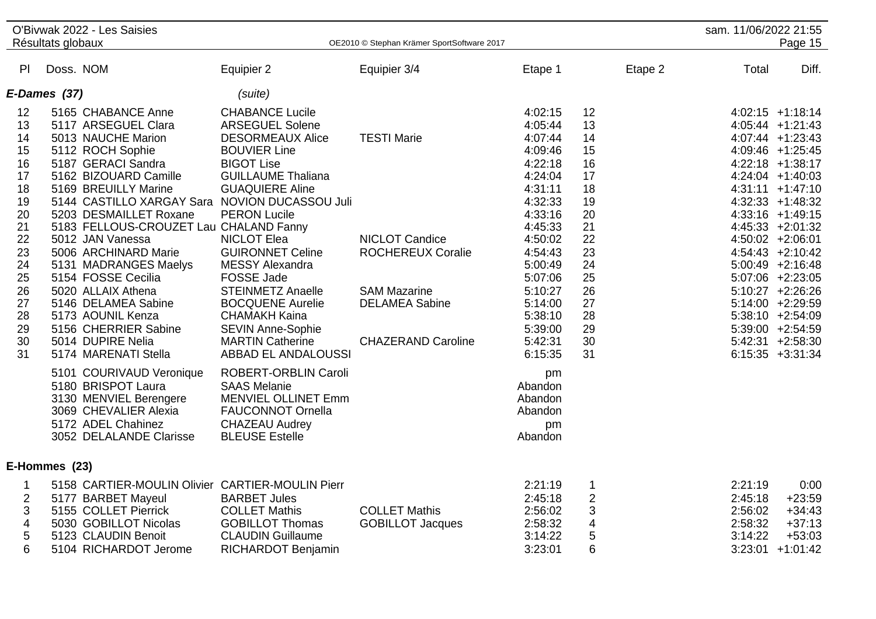|                                                                                                                      | Résultats globaux | O'Bivwak 2022 - Les Saisies                                                                                                                                                                                                                                                                                                                                                                                                                                                                                        |                                                                                                                                                                                                                                                                                                                                                                                                                                                                    | OE2010 © Stephan Krämer SportSoftware 2017                                                                                                           |                                                                                                                                                                                                                          |                                                                                                                      | sam. 11/06/2022 21:55                    | Page 15                                                                                                                                                                                                                                                                                                                                                                                                                                     |
|----------------------------------------------------------------------------------------------------------------------|-------------------|--------------------------------------------------------------------------------------------------------------------------------------------------------------------------------------------------------------------------------------------------------------------------------------------------------------------------------------------------------------------------------------------------------------------------------------------------------------------------------------------------------------------|--------------------------------------------------------------------------------------------------------------------------------------------------------------------------------------------------------------------------------------------------------------------------------------------------------------------------------------------------------------------------------------------------------------------------------------------------------------------|------------------------------------------------------------------------------------------------------------------------------------------------------|--------------------------------------------------------------------------------------------------------------------------------------------------------------------------------------------------------------------------|----------------------------------------------------------------------------------------------------------------------|------------------------------------------|---------------------------------------------------------------------------------------------------------------------------------------------------------------------------------------------------------------------------------------------------------------------------------------------------------------------------------------------------------------------------------------------------------------------------------------------|
| PI.                                                                                                                  | Doss. NOM         |                                                                                                                                                                                                                                                                                                                                                                                                                                                                                                                    | Equipier 2                                                                                                                                                                                                                                                                                                                                                                                                                                                         | Equipier 3/4                                                                                                                                         | Etape 1                                                                                                                                                                                                                  | Etape 2                                                                                                              | Total                                    | Diff.                                                                                                                                                                                                                                                                                                                                                                                                                                       |
|                                                                                                                      | E-Dames (37)      |                                                                                                                                                                                                                                                                                                                                                                                                                                                                                                                    | (suite)                                                                                                                                                                                                                                                                                                                                                                                                                                                            |                                                                                                                                                      |                                                                                                                                                                                                                          |                                                                                                                      |                                          |                                                                                                                                                                                                                                                                                                                                                                                                                                             |
| 12<br>13<br>14<br>15<br>16<br>17<br>18<br>19<br>20<br>21<br>22<br>23<br>24<br>25<br>26<br>27<br>28<br>29<br>30<br>31 |                   | 5165 CHABANCE Anne<br>5117 ARSEGUEL Clara<br>5013 NAUCHE Marion<br>5112 ROCH Sophie<br>5187 GERACI Sandra<br>5162 BIZOUARD Camille<br>5169 BREUILLY Marine<br>5144 CASTILLO XARGAY Sara NOVION DUCASSOU Juli<br>5203 DESMAILLET Roxane<br>5183 FELLOUS-CROUZET Lau CHALAND Fanny<br>5012 JAN Vanessa<br>5006 ARCHINARD Marie<br>5131 MADRANGES Maelys<br>5154 FOSSE Cecilia<br>5020 ALLAIX Athena<br>5146 DELAMEA Sabine<br>5173 AOUNIL Kenza<br>5156 CHERRIER Sabine<br>5014 DUPIRE Nelia<br>5174 MARENATI Stella | <b>CHABANCE Lucile</b><br><b>ARSEGUEL Solene</b><br><b>DESORMEAUX Alice</b><br><b>BOUVIER Line</b><br><b>BIGOT Lise</b><br><b>GUILLAUME Thaliana</b><br><b>GUAQUIERE Aline</b><br><b>PERON Lucile</b><br><b>NICLOT Elea</b><br><b>GUIRONNET Celine</b><br><b>MESSY Alexandra</b><br><b>FOSSE Jade</b><br><b>STEINMETZ Anaelle</b><br><b>BOCQUENE Aurelie</b><br><b>CHAMAKH Kaina</b><br><b>SEVIN Anne-Sophie</b><br><b>MARTIN Catherine</b><br>ABBAD EL ANDALOUSSI | <b>TESTI Marie</b><br><b>NICLOT Candice</b><br><b>ROCHEREUX Coralie</b><br><b>SAM Mazarine</b><br><b>DELAMEA Sabine</b><br><b>CHAZERAND Caroline</b> | 4:02:15<br>4:05:44<br>4:07:44<br>4:09:46<br>4:22:18<br>4:24:04<br>4:31:11<br>4:32:33<br>4:33:16<br>4:45:33<br>4:50:02<br>4:54:43<br>5:00:49<br>5:07:06<br>5:10:27<br>5:14:00<br>5:38:10<br>5:39:00<br>5:42:31<br>6:15:35 | 12<br>13<br>14<br>15<br>16<br>17<br>18<br>19<br>20<br>21<br>22<br>23<br>24<br>25<br>26<br>27<br>28<br>29<br>30<br>31 |                                          | $4:02:15$ +1:18:14<br>$4:05:44$ +1:21:43<br>$4:07:44$ +1:23:43<br>4:09:46 +1:25:45<br>4:22:18 +1:38:17<br>$4:24:04$ +1:40:03<br>$4:31:11 + 1:47:10$<br>$4:32:33 +1:48:32$<br>$4:33:16$ +1:49:15<br>$4:45:33 +2:01:32$<br>4:50:02 +2:06:01<br>$4:54:43 +2:10:42$<br>$5:00:49$ +2:16:48<br>$5:07:06$ +2:23:05<br>$5:10:27$ +2:26:26<br>5:14:00 +2:29:59<br>$5:38:10 +2:54:09$<br>5:39:00 +2:54:59<br>$5:42:31 +2:58:30$<br>$6:15:35 +3:31:34$ |
|                                                                                                                      | E-Hommes (23)     | 5101 COURIVAUD Veronique<br>5180 BRISPOT Laura<br>3130 MENVIEL Berengere<br>3069 CHEVALIER Alexia<br>5172 ADEL Chahinez<br>3052 DELALANDE Clarisse                                                                                                                                                                                                                                                                                                                                                                 | ROBERT-ORBLIN Caroli<br><b>SAAS Melanie</b><br><b>MENVIEL OLLINET Emm</b><br><b>FAUCONNOT Ornella</b><br><b>CHAZEAU Audrey</b><br><b>BLEUSE Estelle</b>                                                                                                                                                                                                                                                                                                            |                                                                                                                                                      | pm<br>Abandon<br>Abandon<br>Abandon<br>pm<br>Abandon                                                                                                                                                                     |                                                                                                                      |                                          |                                                                                                                                                                                                                                                                                                                                                                                                                                             |
| 1                                                                                                                    |                   | 5158 CARTIER-MOULIN Olivier CARTIER-MOULIN Pierr                                                                                                                                                                                                                                                                                                                                                                                                                                                                   |                                                                                                                                                                                                                                                                                                                                                                                                                                                                    |                                                                                                                                                      | 2:21:19                                                                                                                                                                                                                  | $\mathbf 1$                                                                                                          | 2:21:19                                  | 0:00                                                                                                                                                                                                                                                                                                                                                                                                                                        |
| $\overline{\mathbf{c}}$<br>3<br>$\overline{\mathcal{A}}$<br>$\sqrt{5}$<br>6                                          |                   | 5177 BARBET Mayeul<br>5155 COLLET Pierrick<br>5030 GOBILLOT Nicolas<br>5123 CLAUDIN Benoit<br>5104 RICHARDOT Jerome                                                                                                                                                                                                                                                                                                                                                                                                | <b>BARBET Jules</b><br><b>COLLET Mathis</b><br><b>GOBILLOT Thomas</b><br><b>CLAUDIN Guillaume</b><br>RICHARDOT Benjamin                                                                                                                                                                                                                                                                                                                                            | <b>COLLET Mathis</b><br><b>GOBILLOT Jacques</b>                                                                                                      | 2:45:18<br>2:56:02<br>2:58:32<br>3:14:22<br>3:23:01                                                                                                                                                                      | $\overline{2}$<br>3<br>4<br>5<br>6                                                                                   | 2:45:18<br>2:56:02<br>2:58:32<br>3:14:22 | $+23:59$<br>$+34:43$<br>$+37:13$<br>$+53:03$<br>$3:23:01 +1:01:42$                                                                                                                                                                                                                                                                                                                                                                          |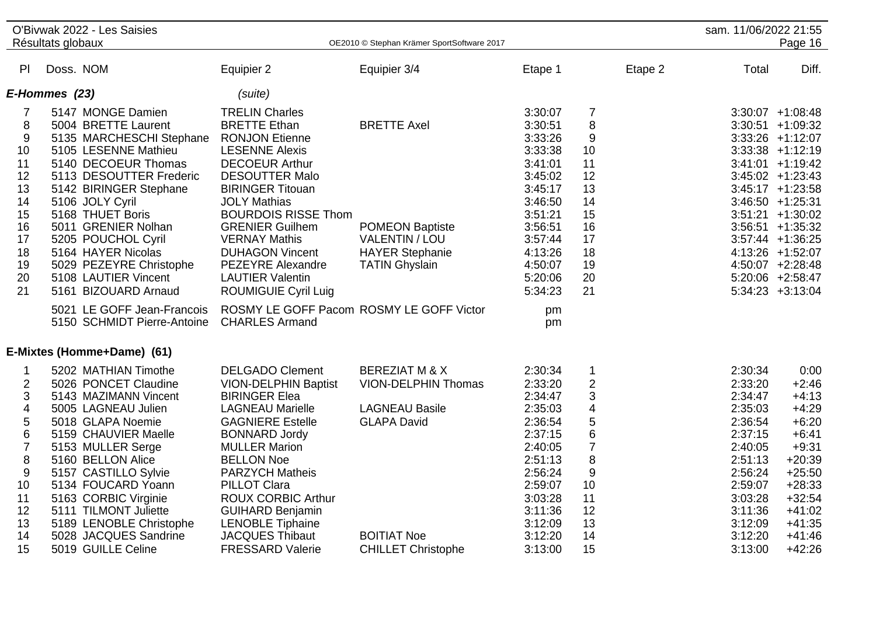|                         | O'Bivwak 2022 - Les Saisies<br>Résultats globaux |                                          | OE2010 © Stephan Krämer SportSoftware 2017 |         |                         |         | sam. 11/06/2022 21:55 | Page 16             |
|-------------------------|--------------------------------------------------|------------------------------------------|--------------------------------------------|---------|-------------------------|---------|-----------------------|---------------------|
| PI                      | Doss. NOM                                        | Equipier 2                               | Equipier 3/4                               | Etape 1 |                         | Etape 2 | Total                 | Diff.               |
|                         |                                                  |                                          |                                            |         |                         |         |                       |                     |
|                         | E-Hommes (23)                                    | (suite)                                  |                                            |         |                         |         |                       |                     |
| 7                       | 5147 MONGE Damien                                | <b>TRELIN Charles</b>                    |                                            | 3:30:07 | $\overline{7}$          |         |                       | $3:30:07 +1:08:48$  |
| 8                       | 5004 BRETTE Laurent                              | <b>BRETTE Ethan</b>                      | <b>BRETTE Axel</b>                         | 3:30:51 | 8                       |         |                       | $3:30:51 +1:09:32$  |
| $9\,$                   | 5135 MARCHESCHI Stephane                         | <b>RONJON Etienne</b>                    |                                            | 3:33:26 | 9                       |         |                       | $3:33:26$ +1:12:07  |
| 10                      | 5105 LESENNE Mathieu                             | <b>LESENNE Alexis</b>                    |                                            | 3:33:38 | 10                      |         |                       | $3:33:38$ +1:12:19  |
| 11                      | 5140 DECOEUR Thomas                              | <b>DECOEUR Arthur</b>                    |                                            | 3:41:01 | 11                      |         |                       | $3:41:01 +1:19:42$  |
| 12                      | 5113 DESOUTTER Frederic                          | <b>DESOUTTER Malo</b>                    |                                            | 3:45:02 | 12                      |         |                       | $3:45:02 +1:23:43$  |
| 13                      | 5142 BIRINGER Stephane                           | <b>BIRINGER Titouan</b>                  |                                            | 3:45:17 | 13                      |         |                       | $3:45:17 +1:23:58$  |
| 14                      | 5106 JOLY Cyril                                  | <b>JOLY Mathias</b>                      |                                            | 3:46:50 | 14                      |         |                       | $3:46:50 +1:25:31$  |
| 15                      | 5168 THUET Boris                                 | <b>BOURDOIS RISSE Thom</b>               |                                            | 3:51:21 | 15                      |         |                       | $3:51:21 + 1:30:02$ |
| 16                      | 5011 GRENIER Nolhan                              | <b>GRENIER Guilhem</b>                   | <b>POMEON Baptiste</b>                     | 3:56:51 | 16                      |         |                       | $3:56:51 + 1:35:32$ |
| 17                      | 5205 POUCHOL Cyril                               | <b>VERNAY Mathis</b>                     | <b>VALENTIN / LOU</b>                      | 3:57:44 | 17                      |         |                       | $3:57:44$ +1:36:25  |
| 18                      | 5164 HAYER Nicolas                               | <b>DUHAGON Vincent</b>                   | <b>HAYER Stephanie</b>                     | 4:13:26 | 18                      |         |                       | 4:13:26 +1:52:07    |
| 19                      | 5029 PEZEYRE Christophe                          | PEZEYRE Alexandre                        | <b>TATIN Ghyslain</b>                      | 4:50:07 | 19                      |         |                       | 4:50:07 +2:28:48    |
| 20                      | 5108 LAUTIER Vincent                             | <b>LAUTIER Valentin</b>                  |                                            | 5:20:06 | 20                      |         |                       | $5:20:06$ +2:58:47  |
| 21                      | 5161 BIZOUARD Arnaud                             | <b>ROUMIGUIE Cyril Luig</b>              |                                            | 5:34:23 | 21                      |         |                       | $5:34:23 +3:13:04$  |
|                         | 5021 LE GOFF Jean-Francois                       | ROSMY LE GOFF Pacom ROSMY LE GOFF Victor |                                            | pm      |                         |         |                       |                     |
|                         | 5150 SCHMIDT Pierre-Antoine                      | <b>CHARLES Armand</b>                    |                                            | pm      |                         |         |                       |                     |
|                         | E-Mixtes (Homme+Dame) (61)                       |                                          |                                            |         |                         |         |                       |                     |
|                         | 5202 MATHIAN Timothe                             | <b>DELGADO Clement</b>                   | <b>BEREZIAT M &amp; X</b>                  | 2:30:34 | $\mathbf 1$             |         | 2:30:34               | 0:00                |
| $\overline{2}$          | 5026 PONCET Claudine                             | <b>VION-DELPHIN Baptist</b>              | <b>VION-DELPHIN Thomas</b>                 | 2:33:20 | $\overline{2}$          |         | 2:33:20               | $+2:46$             |
| 3                       | 5143 MAZIMANN Vincent                            | <b>BIRINGER Elea</b>                     |                                            | 2:34:47 | 3                       |         | 2:34:47               | $+4:13$             |
| $\overline{\mathbf{4}}$ | 5005 LAGNEAU Julien                              | <b>LAGNEAU Marielle</b>                  | <b>LAGNEAU Basile</b>                      | 2:35:03 | $\overline{\mathbf{4}}$ |         | 2:35:03               | $+4:29$             |
| 5                       | 5018 GLAPA Noemie                                | <b>GAGNIERE Estelle</b>                  | <b>GLAPA David</b>                         | 2:36:54 | 5                       |         | 2:36:54               | $+6:20$             |
| 6                       | 5159 CHAUVIER Maelle                             | <b>BONNARD Jordy</b>                     |                                            | 2:37:15 | $6\phantom{1}6$         |         | 2:37:15               | $+6:41$             |
| $\overline{7}$          | 5153 MULLER Serge                                | <b>MULLER Marion</b>                     |                                            | 2:40:05 | $\overline{7}$          |         | 2:40:05               | $+9:31$             |
| $\bf 8$                 | 5160 BELLON Alice                                | <b>BELLON Noe</b>                        |                                            | 2:51:13 | 8                       |         | 2:51:13               | $+20:39$            |
| 9                       | 5157 CASTILLO Sylvie                             | <b>PARZYCH Matheis</b>                   |                                            | 2:56:24 | 9                       |         | 2:56:24               | $+25:50$            |
| 10                      | 5134 FOUCARD Yoann                               | <b>PILLOT Clara</b>                      |                                            | 2:59:07 | 10                      |         | 2:59:07               | $+28:33$            |
| 11                      | 5163 CORBIC Virginie                             | <b>ROUX CORBIC Arthur</b>                |                                            | 3:03:28 | 11                      |         | 3:03:28               | $+32:54$            |
| 12                      | 5111 TILMONT Juliette                            | <b>GUIHARD Benjamin</b>                  |                                            | 3:11:36 | 12                      |         | 3:11:36               | $+41:02$            |
| 13                      | 5189 LENOBLE Christophe                          | <b>LENOBLE Tiphaine</b>                  |                                            | 3:12:09 | 13                      |         | 3:12:09               | $+41:35$            |
| 14                      | 5028 JACQUES Sandrine                            | <b>JACQUES Thibaut</b>                   | <b>BOITIAT Noe</b>                         | 3:12:20 | 14                      |         | 3:12:20               | $+41:46$            |
| 15                      | 5019 GUILLE Celine                               | <b>FRESSARD Valerie</b>                  | <b>CHILLET Christophe</b>                  | 3:13:00 | 15                      |         | 3:13:00               | $+42:26$            |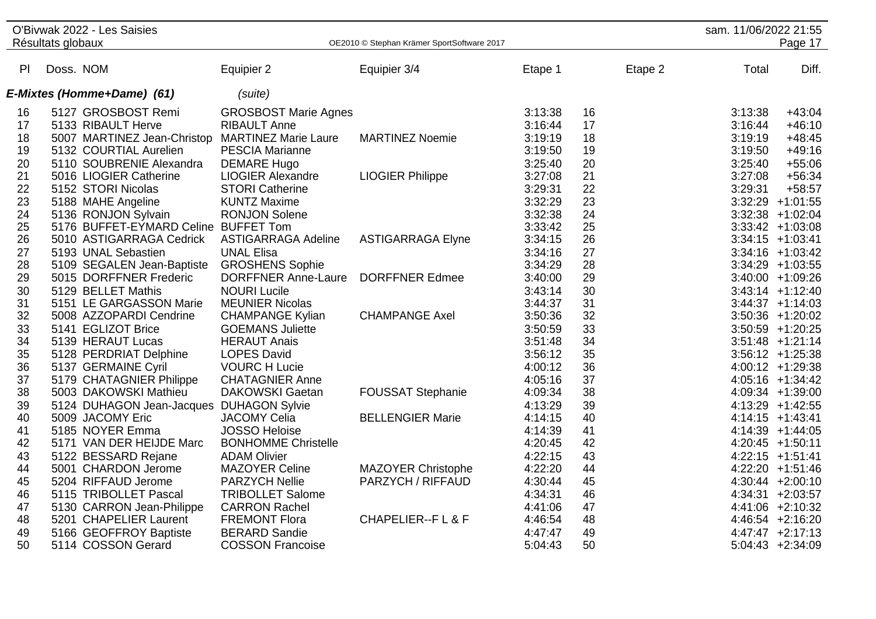|    | Résultats globaux | O'Bivwak 2022 - Les Saisies              |                             | OE2010 © Stephan Krämer SportSoftware 2017 |         |    |         | sam. 11/06/2022 21:55 | Page 17             |
|----|-------------------|------------------------------------------|-----------------------------|--------------------------------------------|---------|----|---------|-----------------------|---------------------|
|    |                   |                                          |                             |                                            |         |    |         |                       |                     |
| PI | Doss. NOM         |                                          | Equipier 2                  | Equipier 3/4                               | Etape 1 |    | Etape 2 | Total                 | Diff.               |
|    |                   | E-Mixtes (Homme+Dame) (61)               | (suite)                     |                                            |         |    |         |                       |                     |
| 16 |                   | 5127 GROSBOST Remi                       | <b>GROSBOST Marie Agnes</b> |                                            | 3:13:38 | 16 |         | 3:13:38               | $+43:04$            |
| 17 |                   | 5133 RIBAULT Herve                       | <b>RIBAULT Anne</b>         |                                            | 3:16:44 | 17 |         | 3:16:44               | $+46:10$            |
| 18 |                   | 5007 MARTINEZ Jean-Christop              | <b>MARTINEZ Marie Laure</b> | <b>MARTINEZ Noemie</b>                     | 3:19:19 | 18 |         | 3:19:19               | $+48:45$            |
| 19 |                   | 5132 COURTIAL Aurelien                   | <b>PESCIA Marianne</b>      |                                            | 3:19:50 | 19 |         | 3:19:50               | $+49:16$            |
| 20 |                   | 5110 SOUBRENIE Alexandra                 | <b>DEMARE Hugo</b>          |                                            | 3:25:40 | 20 |         | 3:25:40               | $+55:06$            |
| 21 |                   | 5016 LIOGIER Catherine                   | <b>LIOGIER Alexandre</b>    | <b>LIOGIER Philippe</b>                    | 3:27:08 | 21 |         | 3:27:08               | $+56:34$            |
| 22 |                   | 5152 STORI Nicolas                       | <b>STORI Catherine</b>      |                                            | 3:29:31 | 22 |         | 3:29:31               | $+58:57$            |
| 23 |                   | 5188 MAHE Angeline                       | <b>KUNTZ Maxime</b>         |                                            | 3:32:29 | 23 |         |                       | $3:32:29$ +1:01:55  |
| 24 |                   | 5136 RONJON Sylvain                      | <b>RONJON Solene</b>        |                                            | 3:32:38 | 24 |         |                       | 3:32:38 +1:02:04    |
| 25 |                   | 5176 BUFFET-EYMARD Celine BUFFET Tom     |                             |                                            | 3:33:42 | 25 |         |                       | $3:33:42 +1:03:08$  |
| 26 |                   | 5010 ASTIGARRAGA Cedrick                 | <b>ASTIGARRAGA Adeline</b>  | <b>ASTIGARRAGA Elyne</b>                   | 3:34:15 | 26 |         |                       | $3:34:15 +1:03:41$  |
| 27 |                   | 5193 UNAL Sebastien                      | <b>UNAL Elisa</b>           |                                            | 3:34:16 | 27 |         |                       | $3:34:16$ +1:03:42  |
| 28 |                   | 5109 SEGALEN Jean-Baptiste               | <b>GROSHENS Sophie</b>      |                                            | 3:34:29 | 28 |         |                       | $3:34:29$ +1:03:55  |
| 29 |                   | 5015 DORFFNER Frederic                   | <b>DORFFNER Anne-Laure</b>  | <b>DORFFNER Edmee</b>                      | 3:40:00 | 29 |         |                       | 3:40:00 +1:09:26    |
| 30 |                   | 5129 BELLET Mathis                       | <b>NOURI Lucile</b>         |                                            | 3:43:14 | 30 |         |                       | $3:43:14$ +1:12:40  |
| 31 |                   | 5151 LE GARGASSON Marie                  | <b>MEUNIER Nicolas</b>      |                                            | 3:44:37 | 31 |         |                       | $3:44:37 +1:14:03$  |
| 32 |                   | 5008 AZZOPARDI Cendrine                  | <b>CHAMPANGE Kylian</b>     | <b>CHAMPANGE Axel</b>                      | 3:50:36 | 32 |         |                       | $3:50:36$ +1:20:02  |
| 33 |                   | 5141 EGLIZOT Brice                       | <b>GOEMANS Juliette</b>     |                                            | 3:50:59 | 33 |         |                       | $3:50:59$ +1:20:25  |
| 34 |                   | 5139 HERAUT Lucas                        | <b>HERAUT Anais</b>         |                                            | 3:51:48 | 34 |         |                       | $3:51:48$ +1:21:14  |
| 35 |                   | 5128 PERDRIAT Delphine                   | <b>LOPES David</b>          |                                            | 3:56:12 | 35 |         |                       | $3:56:12 + 1:25:38$ |
| 36 |                   | 5137 GERMAINE Cyril                      | <b>VOURC H Lucie</b>        |                                            | 4:00:12 | 36 |         |                       | 4:00:12 +1:29:38    |
| 37 |                   | 5179 CHATAGNIER Philippe                 | <b>CHATAGNIER Anne</b>      |                                            | 4:05:16 | 37 |         |                       | $4:05:16$ +1:34:42  |
| 38 |                   | 5003 DAKOWSKI Mathieu                    | <b>DAKOWSKI Gaetan</b>      | <b>FOUSSAT Stephanie</b>                   | 4:09:34 | 38 |         |                       | 4:09:34 +1:39:00    |
| 39 |                   | 5124 DUHAGON Jean-Jacques DUHAGON Sylvie |                             |                                            | 4:13:29 | 39 |         |                       | 4:13:29 +1:42:55    |
| 40 |                   | 5009 JACOMY Eric                         | <b>JACOMY Celia</b>         | <b>BELLENGIER Marie</b>                    | 4:14:15 | 40 |         |                       | $4:14:15$ +1:43:41  |
| 41 |                   | 5185 NOYER Emma                          | <b>JOSSO Heloise</b>        |                                            | 4:14:39 | 41 |         |                       | 4:14:39 +1:44:05    |
| 42 |                   | 5171 VAN DER HEIJDE Marc                 | <b>BONHOMME Christelle</b>  |                                            | 4:20:45 | 42 |         |                       | 4:20:45 +1:50:11    |
| 43 |                   | 5122 BESSARD Rejane                      | <b>ADAM Olivier</b>         |                                            | 4:22:15 | 43 |         |                       | $4:22:15$ +1:51:41  |
| 44 |                   | 5001 CHARDON Jerome                      | <b>MAZOYER Celine</b>       | <b>MAZOYER Christophe</b>                  | 4:22:20 | 44 |         |                       | 4:22:20 +1:51:46    |
| 45 |                   | 5204 RIFFAUD Jerome                      | <b>PARZYCH Nellie</b>       | PARZYCH / RIFFAUD                          | 4:30:44 | 45 |         |                       | $4:30:44$ +2:00:10  |
| 46 |                   | 5115 TRIBOLLET Pascal                    | <b>TRIBOLLET Salome</b>     |                                            | 4:34:31 | 46 |         |                       | $4:34:31 + 2:03:57$ |
| 47 |                   | 5130 CARRON Jean-Philippe                | <b>CARRON Rachel</b>        |                                            | 4:41:06 | 47 |         |                       | $4:41:06$ +2:10:32  |
| 48 |                   | 5201 CHAPELIER Laurent                   | <b>FREMONT Flora</b>        | <b>CHAPELIER--FL&amp;F</b>                 | 4:46:54 | 48 |         |                       | $4:46:54$ +2:16:20  |
| 49 |                   | 5166 GEOFFROY Baptiste                   | <b>BERARD Sandie</b>        |                                            | 4:47:47 | 49 |         |                       | $4:47:47$ +2:17:13  |
| 50 |                   | 5114 COSSON Gerard                       | <b>COSSON Francoise</b>     |                                            | 5:04:43 | 50 |         |                       | $5:04:43 +2:34:09$  |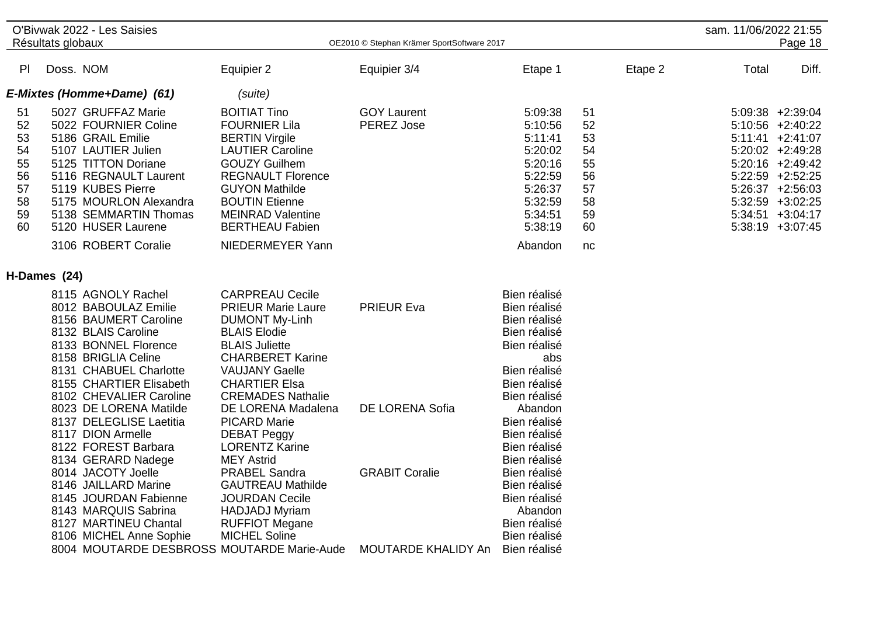|                                                          | O'Bivwak 2022 - Les Saisies<br>Résultats globaux |                                                                                                                                                                                                                                                                                                                                                                                                                                                                                                     | OE2010 © Stephan Krämer SportSoftware 2017                                                                                                                                                                                                                                                                                                                                                                                                                                                                   |                                                                      |                                                                                                                                                                                                                                                                                                           |                                                          |         | sam. 11/06/2022 21:55<br>Page 18 |                                                                                                                                                                                                                       |
|----------------------------------------------------------|--------------------------------------------------|-----------------------------------------------------------------------------------------------------------------------------------------------------------------------------------------------------------------------------------------------------------------------------------------------------------------------------------------------------------------------------------------------------------------------------------------------------------------------------------------------------|--------------------------------------------------------------------------------------------------------------------------------------------------------------------------------------------------------------------------------------------------------------------------------------------------------------------------------------------------------------------------------------------------------------------------------------------------------------------------------------------------------------|----------------------------------------------------------------------|-----------------------------------------------------------------------------------------------------------------------------------------------------------------------------------------------------------------------------------------------------------------------------------------------------------|----------------------------------------------------------|---------|----------------------------------|-----------------------------------------------------------------------------------------------------------------------------------------------------------------------------------------------------------------------|
|                                                          |                                                  |                                                                                                                                                                                                                                                                                                                                                                                                                                                                                                     |                                                                                                                                                                                                                                                                                                                                                                                                                                                                                                              |                                                                      |                                                                                                                                                                                                                                                                                                           |                                                          |         |                                  |                                                                                                                                                                                                                       |
| PI                                                       | Doss. NOM                                        |                                                                                                                                                                                                                                                                                                                                                                                                                                                                                                     | Equipier 2                                                                                                                                                                                                                                                                                                                                                                                                                                                                                                   | Equipier 3/4                                                         | Etape 1                                                                                                                                                                                                                                                                                                   |                                                          | Etape 2 | Total                            | Diff.                                                                                                                                                                                                                 |
|                                                          |                                                  | E-Mixtes (Homme+Dame) (61)                                                                                                                                                                                                                                                                                                                                                                                                                                                                          | (suite)                                                                                                                                                                                                                                                                                                                                                                                                                                                                                                      |                                                                      |                                                                                                                                                                                                                                                                                                           |                                                          |         |                                  |                                                                                                                                                                                                                       |
| 51<br>52<br>53<br>54<br>55<br>56<br>57<br>58<br>59<br>60 |                                                  | 5027 GRUFFAZ Marie<br>5022 FOURNIER Coline<br>5186 GRAIL Emilie<br>5107 LAUTIER Julien<br>5125 TITTON Doriane<br>5116 REGNAULT Laurent<br>5119 KUBES Pierre<br>5175 MOURLON Alexandra<br>5138 SEMMARTIN Thomas<br>5120 HUSER Laurene                                                                                                                                                                                                                                                                | <b>BOITIAT Tino</b><br><b>FOURNIER Lila</b><br><b>BERTIN Virgile</b><br><b>LAUTIER Caroline</b><br><b>GOUZY Guilhem</b><br><b>REGNAULT Florence</b><br><b>GUYON Mathilde</b><br><b>BOUTIN Etienne</b><br><b>MEINRAD Valentine</b><br><b>BERTHEAU Fabien</b>                                                                                                                                                                                                                                                  | <b>GOY Laurent</b><br>PEREZ Jose                                     | 5:09:38<br>5:10:56<br>5:11:41<br>5:20:02<br>5:20:16<br>5:22:59<br>5:26:37<br>5:32:59<br>5:34:51<br>5:38:19                                                                                                                                                                                                | 51<br>52<br>53<br>54<br>55<br>56<br>57<br>58<br>59<br>60 |         |                                  | 5:09:38 +2:39:04<br>$5:10:56$ +2:40:22<br>$5:11:41 +2:41:07$<br>$5:20:02 +2:49:28$<br>$5:20:16$ +2:49:42<br>$5:22:59$ +2:52:25<br>$5:26:37 +2:56:03$<br>$5:32:59$ +3:02:25<br>$5:34:51 + 3:04:17$<br>5:38:19 +3:07:45 |
|                                                          |                                                  | 3106 ROBERT Coralie                                                                                                                                                                                                                                                                                                                                                                                                                                                                                 | NIEDERMEYER Yann                                                                                                                                                                                                                                                                                                                                                                                                                                                                                             |                                                                      | Abandon                                                                                                                                                                                                                                                                                                   | nc                                                       |         |                                  |                                                                                                                                                                                                                       |
| H-Dames (24)                                             |                                                  |                                                                                                                                                                                                                                                                                                                                                                                                                                                                                                     |                                                                                                                                                                                                                                                                                                                                                                                                                                                                                                              |                                                                      |                                                                                                                                                                                                                                                                                                           |                                                          |         |                                  |                                                                                                                                                                                                                       |
|                                                          |                                                  | 8115 AGNOLY Rachel<br>8012 BABOULAZ Emilie<br>8156 BAUMERT Caroline<br>8132 BLAIS Caroline<br>8133 BONNEL Florence<br>8158 BRIGLIA Celine<br>8131 CHABUEL Charlotte<br>8155 CHARTIER Elisabeth<br>8102 CHEVALIER Caroline<br>8023 DE LORENA Matilde<br>8137 DELEGLISE Laetitia<br>8117 DION Armelle<br>8122 FOREST Barbara<br>8134 GERARD Nadege<br>8014 JACOTY Joelle<br>8146 JAILLARD Marine<br>8145 JOURDAN Fabienne<br>8143 MARQUIS Sabrina<br>8127 MARTINEU Chantal<br>8106 MICHEL Anne Sophie | <b>CARPREAU Cecile</b><br><b>PRIEUR Marie Laure</b><br><b>DUMONT My-Linh</b><br><b>BLAIS Elodie</b><br><b>BLAIS Juliette</b><br><b>CHARBERET Karine</b><br><b>VAUJANY Gaelle</b><br><b>CHARTIER Elsa</b><br><b>CREMADES Nathalie</b><br>DE LORENA Madalena<br><b>PICARD Marie</b><br><b>DEBAT Peggy</b><br><b>LORENTZ Karine</b><br><b>MEY Astrid</b><br><b>PRABEL Sandra</b><br><b>GAUTREAU Mathilde</b><br><b>JOURDAN Cecile</b><br><b>HADJADJ Myriam</b><br><b>RUFFIOT Megane</b><br><b>MICHEL Soline</b> | <b>PRIEUR Eva</b><br><b>DE LORENA Sofia</b><br><b>GRABIT Coralie</b> | Bien réalisé<br>Bien réalisé<br>Bien réalisé<br>Bien réalisé<br>Bien réalisé<br>abs<br>Bien réalisé<br>Bien réalisé<br>Bien réalisé<br>Abandon<br>Bien réalisé<br>Bien réalisé<br>Bien réalisé<br>Bien réalisé<br>Bien réalisé<br>Bien réalisé<br>Bien réalisé<br>Abandon<br>Bien réalisé<br>Bien réalisé |                                                          |         |                                  |                                                                                                                                                                                                                       |
|                                                          |                                                  |                                                                                                                                                                                                                                                                                                                                                                                                                                                                                                     | 8004 MOUTARDE DESBROSS MOUTARDE Marie-Aude                                                                                                                                                                                                                                                                                                                                                                                                                                                                   | MOUTARDE KHALIDY An                                                  | Bien réalisé                                                                                                                                                                                                                                                                                              |                                                          |         |                                  |                                                                                                                                                                                                                       |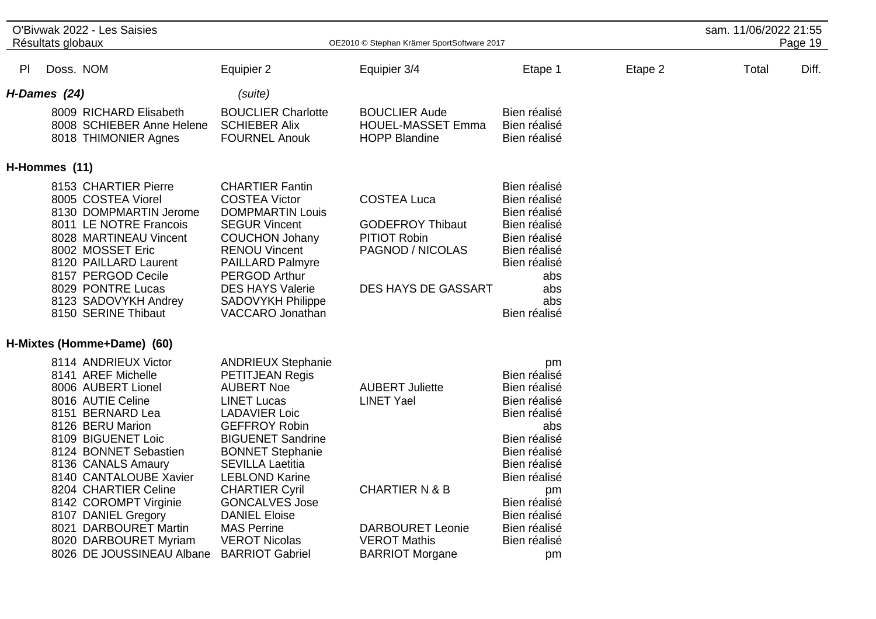|               | O'Bivwak 2022 - Les Saisies<br>Résultats globaux |                                                                                                                                                                                                                                                                                                                                                                                     | OE2010 © Stephan Krämer SportSoftware 2017                                                                                                                                                                                                                                                                                                                                                           |                                                                                                                                                      |                                                                                                                                                                                                                       |         | sam. 11/06/2022 21:55<br>Page 19 |       |  |
|---------------|--------------------------------------------------|-------------------------------------------------------------------------------------------------------------------------------------------------------------------------------------------------------------------------------------------------------------------------------------------------------------------------------------------------------------------------------------|------------------------------------------------------------------------------------------------------------------------------------------------------------------------------------------------------------------------------------------------------------------------------------------------------------------------------------------------------------------------------------------------------|------------------------------------------------------------------------------------------------------------------------------------------------------|-----------------------------------------------------------------------------------------------------------------------------------------------------------------------------------------------------------------------|---------|----------------------------------|-------|--|
| PI            | Doss. NOM                                        |                                                                                                                                                                                                                                                                                                                                                                                     | Equipier 2                                                                                                                                                                                                                                                                                                                                                                                           | Equipier 3/4                                                                                                                                         | Etape 1                                                                                                                                                                                                               | Etape 2 | Total                            | Diff. |  |
| H-Dames (24)  |                                                  |                                                                                                                                                                                                                                                                                                                                                                                     | (suite)                                                                                                                                                                                                                                                                                                                                                                                              |                                                                                                                                                      |                                                                                                                                                                                                                       |         |                                  |       |  |
|               |                                                  | 8009 RICHARD Elisabeth<br>8008 SCHIEBER Anne Helene<br>8018 THIMONIER Agnes                                                                                                                                                                                                                                                                                                         | <b>BOUCLIER Charlotte</b><br><b>SCHIEBER Alix</b><br><b>FOURNEL Anouk</b>                                                                                                                                                                                                                                                                                                                            | <b>BOUCLIER Aude</b><br><b>HOUEL-MASSET Emma</b><br><b>HOPP Blandine</b>                                                                             | Bien réalisé<br>Bien réalisé<br>Bien réalisé                                                                                                                                                                          |         |                                  |       |  |
| H-Hommes (11) |                                                  |                                                                                                                                                                                                                                                                                                                                                                                     |                                                                                                                                                                                                                                                                                                                                                                                                      |                                                                                                                                                      |                                                                                                                                                                                                                       |         |                                  |       |  |
|               |                                                  | 8153 CHARTIER Pierre<br>8005 COSTEA Viorel<br>8130 DOMPMARTIN Jerome<br>8011 LE NOTRE Francois<br>8028 MARTINEAU Vincent<br>8002 MOSSET Eric<br>8120 PAILLARD Laurent<br>8157 PERGOD Cecile<br>8029 PONTRE Lucas<br>8123 SADOVYKH Andrey<br>8150 SERINE Thibaut                                                                                                                     | <b>CHARTIER Fantin</b><br><b>COSTEA Victor</b><br><b>DOMPMARTIN Louis</b><br><b>SEGUR Vincent</b><br><b>COUCHON Johany</b><br><b>RENOU Vincent</b><br><b>PAILLARD Palmyre</b><br><b>PERGOD Arthur</b><br><b>DES HAYS Valerie</b><br><b>SADOVYKH Philippe</b><br>VACCARO Jonathan                                                                                                                     | <b>COSTEA Luca</b><br><b>GODEFROY Thibaut</b><br><b>PITIOT Robin</b><br>PAGNOD / NICOLAS<br><b>DES HAYS DE GASSART</b>                               | Bien réalisé<br>Bien réalisé<br>Bien réalisé<br>Bien réalisé<br>Bien réalisé<br>Bien réalisé<br>Bien réalisé<br>abs<br>abs<br>abs<br>Bien réalisé                                                                     |         |                                  |       |  |
|               |                                                  | H-Mixtes (Homme+Dame) (60)                                                                                                                                                                                                                                                                                                                                                          |                                                                                                                                                                                                                                                                                                                                                                                                      |                                                                                                                                                      |                                                                                                                                                                                                                       |         |                                  |       |  |
|               |                                                  | 8114 ANDRIEUX Victor<br>8141 AREF Michelle<br>8006 AUBERT Lionel<br>8016 AUTIE Celine<br>8151 BERNARD Lea<br>8126 BERU Marion<br>8109 BIGUENET Loic<br>8124 BONNET Sebastien<br>8136 CANALS Amaury<br>8140 CANTALOUBE Xavier<br>8204 CHARTIER Celine<br>8142 COROMPT Virginie<br>8107 DANIEL Gregory<br>8021 DARBOURET Martin<br>8020 DARBOURET Myriam<br>8026 DE JOUSSINEAU Albane | <b>ANDRIEUX Stephanie</b><br>PETITJEAN Regis<br><b>AUBERT Noe</b><br><b>LINET Lucas</b><br><b>LADAVIER Loic</b><br><b>GEFFROY Robin</b><br><b>BIGUENET Sandrine</b><br><b>BONNET Stephanie</b><br><b>SEVILLA Laetitia</b><br><b>LEBLOND Karine</b><br><b>CHARTIER Cyril</b><br><b>GONCALVES Jose</b><br><b>DANIEL Eloise</b><br><b>MAS Perrine</b><br><b>VEROT Nicolas</b><br><b>BARRIOT Gabriel</b> | <b>AUBERT Juliette</b><br><b>LINET Yael</b><br><b>CHARTIER N &amp; B</b><br><b>DARBOURET Leonie</b><br><b>VEROT Mathis</b><br><b>BARRIOT Morgane</b> | pm<br>Bien réalisé<br>Bien réalisé<br>Bien réalisé<br>Bien réalisé<br>abs<br>Bien réalisé<br>Bien réalisé<br>Bien réalisé<br>Bien réalisé<br>pm<br>Bien réalisé<br>Bien réalisé<br>Bien réalisé<br>Bien réalisé<br>pm |         |                                  |       |  |

 $\overline{\phantom{a}}$ 

 $\overline{a}$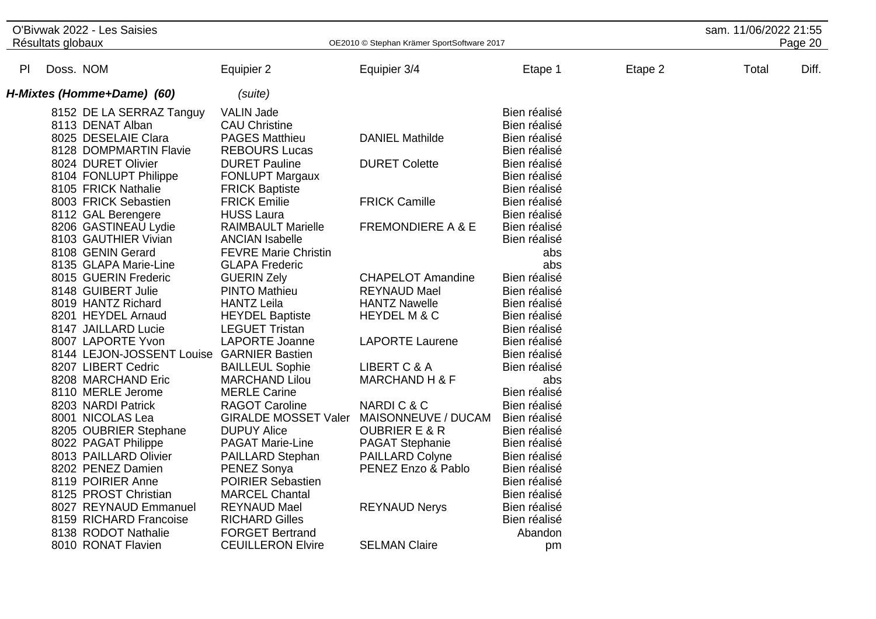| O'Bivwak 2022 - Les Saisies<br>Résultats globaux |                                           | OE2010 © Stephan Krämer SportSoftware 2017 |                              |              |         |       | sam. 11/06/2022 21:55<br>Page 20 |  |
|--------------------------------------------------|-------------------------------------------|--------------------------------------------|------------------------------|--------------|---------|-------|----------------------------------|--|
|                                                  |                                           |                                            |                              |              |         |       |                                  |  |
| PI                                               | Doss. NOM                                 | Equipier 2                                 | Equipier 3/4                 | Etape 1      | Etape 2 | Total | Diff.                            |  |
|                                                  | H-Mixtes (Homme+Dame) (60)                | (suite)                                    |                              |              |         |       |                                  |  |
|                                                  | 8152 DE LA SERRAZ Tanguy                  | <b>VALIN Jade</b>                          |                              | Bien réalisé |         |       |                                  |  |
|                                                  | 8113 DENAT Alban                          | <b>CAU Christine</b>                       |                              | Bien réalisé |         |       |                                  |  |
|                                                  | 8025 DESELAIE Clara                       | <b>PAGES Matthieu</b>                      | <b>DANIEL Mathilde</b>       | Bien réalisé |         |       |                                  |  |
|                                                  | 8128 DOMPMARTIN Flavie                    | <b>REBOURS Lucas</b>                       |                              | Bien réalisé |         |       |                                  |  |
|                                                  | 8024 DURET Olivier                        | <b>DURET Pauline</b>                       | <b>DURET Colette</b>         | Bien réalisé |         |       |                                  |  |
|                                                  | 8104 FONLUPT Philippe                     | <b>FONLUPT Margaux</b>                     |                              | Bien réalisé |         |       |                                  |  |
|                                                  | 8105 FRICK Nathalie                       | <b>FRICK Baptiste</b>                      |                              | Bien réalisé |         |       |                                  |  |
|                                                  | 8003 FRICK Sebastien                      | <b>FRICK Emilie</b>                        | <b>FRICK Camille</b>         | Bien réalisé |         |       |                                  |  |
|                                                  | 8112 GAL Berengere                        | <b>HUSS Laura</b>                          |                              | Bien réalisé |         |       |                                  |  |
|                                                  | 8206 GASTINEAU Lydie                      | <b>RAIMBAULT Marielle</b>                  | <b>FREMONDIERE A &amp; E</b> | Bien réalisé |         |       |                                  |  |
|                                                  | 8103 GAUTHIER Vivian                      | <b>ANCIAN Isabelle</b>                     |                              | Bien réalisé |         |       |                                  |  |
|                                                  | 8108 GENIN Gerard                         | <b>FEVRE Marie Christin</b>                |                              | abs          |         |       |                                  |  |
|                                                  | 8135 GLAPA Marie-Line                     | <b>GLAPA Frederic</b>                      |                              | abs          |         |       |                                  |  |
|                                                  | 8015 GUERIN Frederic                      | <b>GUERIN Zely</b>                         | <b>CHAPELOT Amandine</b>     | Bien réalisé |         |       |                                  |  |
|                                                  | 8148 GUIBERT Julie                        | <b>PINTO Mathieu</b>                       | <b>REYNAUD Mael</b>          | Bien réalisé |         |       |                                  |  |
|                                                  | 8019 HANTZ Richard                        | <b>HANTZ Leila</b>                         | <b>HANTZ Nawelle</b>         | Bien réalisé |         |       |                                  |  |
|                                                  | 8201 HEYDEL Arnaud                        | <b>HEYDEL Baptiste</b>                     | <b>HEYDEL M &amp; C</b>      | Bien réalisé |         |       |                                  |  |
|                                                  | 8147 JAILLARD Lucie                       | <b>LEGUET Tristan</b>                      |                              | Bien réalisé |         |       |                                  |  |
|                                                  | 8007 LAPORTE Yvon                         | <b>LAPORTE Joanne</b>                      | <b>LAPORTE Laurene</b>       | Bien réalisé |         |       |                                  |  |
|                                                  | 8144 LEJON-JOSSENT Louise GARNIER Bastien |                                            |                              | Bien réalisé |         |       |                                  |  |
|                                                  | 8207 LIBERT Cedric                        | <b>BAILLEUL Sophie</b>                     | LIBERT C & A                 | Bien réalisé |         |       |                                  |  |
|                                                  | 8208 MARCHAND Eric                        | <b>MARCHAND Lilou</b>                      | <b>MARCHAND H &amp; F</b>    | abs          |         |       |                                  |  |
|                                                  | 8110 MERLE Jerome                         | <b>MERLE Carine</b>                        |                              | Bien réalisé |         |       |                                  |  |
|                                                  | 8203 NARDI Patrick                        | <b>RAGOT Caroline</b>                      | NARDIC&C                     | Bien réalisé |         |       |                                  |  |
|                                                  | 8001 NICOLAS Lea                          | <b>GIRALDE MOSSET Valer</b>                | MAISONNEUVE / DUCAM          | Bien réalisé |         |       |                                  |  |
|                                                  | 8205 OUBRIER Stephane                     | <b>DUPUY Alice</b>                         | <b>OUBRIER E &amp; R</b>     | Bien réalisé |         |       |                                  |  |
|                                                  | 8022 PAGAT Philippe                       | <b>PAGAT Marie-Line</b>                    | <b>PAGAT Stephanie</b>       | Bien réalisé |         |       |                                  |  |
|                                                  | 8013 PAILLARD Olivier                     | PAILLARD Stephan                           | PAILLARD Colyne              | Bien réalisé |         |       |                                  |  |
|                                                  | 8202 PENEZ Damien                         | PENEZ Sonya                                | PENEZ Enzo & Pablo           | Bien réalisé |         |       |                                  |  |
|                                                  | 8119 POIRIER Anne                         | <b>POIRIER Sebastien</b>                   |                              | Bien réalisé |         |       |                                  |  |
|                                                  | 8125 PROST Christian                      | <b>MARCEL Chantal</b>                      |                              | Bien réalisé |         |       |                                  |  |
|                                                  | 8027 REYNAUD Emmanuel                     | <b>REYNAUD Mael</b>                        | <b>REYNAUD Nerys</b>         | Bien réalisé |         |       |                                  |  |
|                                                  | 8159 RICHARD Francoise                    | <b>RICHARD Gilles</b>                      |                              | Bien réalisé |         |       |                                  |  |
|                                                  | 8138 RODOT Nathalie                       | <b>FORGET Bertrand</b>                     |                              | Abandon      |         |       |                                  |  |
|                                                  | 8010 RONAT Flavien                        | <b>CEUILLERON Elvire</b>                   | <b>SELMAN Claire</b>         | pm           |         |       |                                  |  |

 $\overline{a}$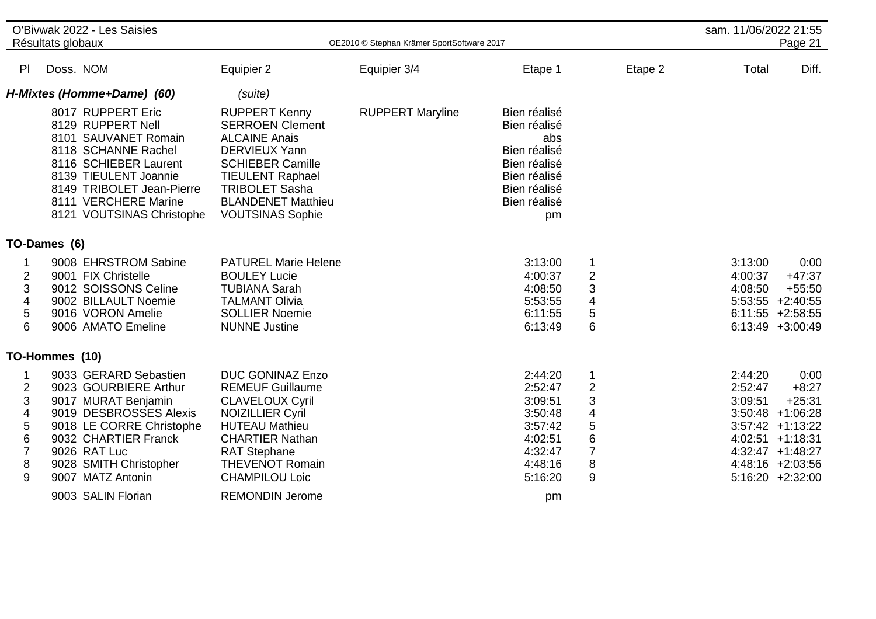|                                                                                                       | O'Bivwak 2022 - Les Saisies<br>Résultats globaux                                                                                                                                                                          |                                                                                                                                                                                                                                       | OE2010 © Stephan Krämer SportSoftware 2017 |                                                                                                                           |                                                                                                       | sam. 11/06/2022 21:55         | Page 21                                                                                                                                                     |
|-------------------------------------------------------------------------------------------------------|---------------------------------------------------------------------------------------------------------------------------------------------------------------------------------------------------------------------------|---------------------------------------------------------------------------------------------------------------------------------------------------------------------------------------------------------------------------------------|--------------------------------------------|---------------------------------------------------------------------------------------------------------------------------|-------------------------------------------------------------------------------------------------------|-------------------------------|-------------------------------------------------------------------------------------------------------------------------------------------------------------|
| PI.                                                                                                   | Doss. NOM                                                                                                                                                                                                                 | Equipier 2                                                                                                                                                                                                                            | Equipier 3/4                               | Etape 1                                                                                                                   | Etape 2                                                                                               | Total                         | Diff.                                                                                                                                                       |
|                                                                                                       | H-Mixtes (Homme+Dame) (60)                                                                                                                                                                                                | (suite)                                                                                                                                                                                                                               |                                            |                                                                                                                           |                                                                                                       |                               |                                                                                                                                                             |
|                                                                                                       | 8017 RUPPERT Eric<br>8129 RUPPERT Nell<br>8101 SAUVANET Romain<br>8118 SCHANNE Rachel<br>8116 SCHIEBER Laurent<br>8139 TIEULENT Joannie<br>8149 TRIBOLET Jean-Pierre<br>8111 VERCHERE Marine<br>8121 VOUTSINAS Christophe | <b>RUPPERT Kenny</b><br><b>SERROEN Clement</b><br><b>ALCAINE Anais</b><br><b>DERVIEUX Yann</b><br><b>SCHIEBER Camille</b><br><b>TIEULENT Raphael</b><br><b>TRIBOLET Sasha</b><br><b>BLANDENET Matthieu</b><br><b>VOUTSINAS Sophie</b> | <b>RUPPERT Maryline</b>                    | Bien réalisé<br>Bien réalisé<br>abs<br>Bien réalisé<br>Bien réalisé<br>Bien réalisé<br>Bien réalisé<br>Bien réalisé<br>pm |                                                                                                       |                               |                                                                                                                                                             |
|                                                                                                       | TO-Dames (6)                                                                                                                                                                                                              |                                                                                                                                                                                                                                       |                                            |                                                                                                                           |                                                                                                       |                               |                                                                                                                                                             |
| 2<br>3<br>4<br>5<br>6                                                                                 | 9008 EHRSTROM Sabine<br>9001 FIX Christelle<br>9012 SOISSONS Celine<br>9002 BILLAULT Noemie<br>9016 VORON Amelie<br>9006 AMATO Emeline                                                                                    | <b>PATUREL Marie Helene</b><br><b>BOULEY Lucie</b><br><b>TUBIANA Sarah</b><br><b>TALMANT Olivia</b><br><b>SOLLIER Noemie</b><br><b>NUNNE Justine</b>                                                                                  |                                            | 3:13:00<br>4:00:37<br>4:08:50<br>5:53:55<br>6:11:55<br>6:13:49                                                            | 1<br>$\overline{2}$<br>3<br>$\overline{\mathbf{4}}$<br>5<br>6                                         | 3:13:00<br>4:00:37<br>4:08:50 | 0:00<br>$+47:37$<br>$+55:50$<br>$5:53:55 + 2:40:55$<br>$6:11:55$ +2:58:55<br>$6:13:49$ +3:00:49                                                             |
|                                                                                                       | TO-Hommes (10)                                                                                                                                                                                                            |                                                                                                                                                                                                                                       |                                            |                                                                                                                           |                                                                                                       |                               |                                                                                                                                                             |
| 1<br>$\overline{2}$<br>$\ensuremath{\mathsf{3}}$<br>4<br>$\mathbf 5$<br>6<br>$\overline{7}$<br>8<br>9 | 9033 GERARD Sebastien<br>9023 GOURBIERE Arthur<br>9017 MURAT Benjamin<br>9019 DESBROSSES Alexis<br>9018 LE CORRE Christophe<br>9032 CHARTIER Franck<br>9026 RAT Luc<br>9028 SMITH Christopher<br>9007 MATZ Antonin        | <b>DUC GONINAZ Enzo</b><br><b>REMEUF Guillaume</b><br><b>CLAVELOUX Cyril</b><br><b>NOIZILLIER Cyril</b><br><b>HUTEAU Mathieu</b><br><b>CHARTIER Nathan</b><br><b>RAT Stephane</b><br><b>THEVENOT Romain</b><br><b>CHAMPILOU Loic</b>  |                                            | 2:44:20<br>2:52:47<br>3:09:51<br>3:50:48<br>3:57:42<br>4:02:51<br>4:32:47<br>4:48:16<br>5:16:20                           | $\mathbf 1$<br>$\overline{2}$<br>$\ensuremath{\mathsf{3}}$<br>4<br>5<br>6<br>$\overline{7}$<br>8<br>9 | 2:44:20<br>2:52:47<br>3:09:51 | 0:00<br>$+8:27$<br>$+25:31$<br>$3:50:48$ +1:06:28<br>$3:57:42 +1:13:22$<br>4:02:51 +1:18:31<br>$4:32:47$ +1:48:27<br>4:48:16 +2:03:56<br>$5:16:20 +2:32:00$ |
|                                                                                                       | 9003 SALIN Florian                                                                                                                                                                                                        | <b>REMONDIN Jerome</b>                                                                                                                                                                                                                |                                            | pm                                                                                                                        |                                                                                                       |                               |                                                                                                                                                             |